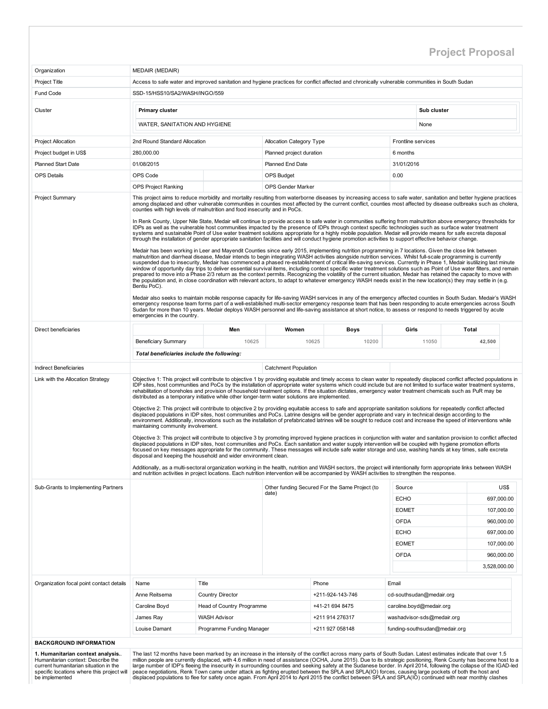## Project Proposal

| Organization                                                       | <b>MEDAIR (MEDAIR)</b>                                                                                                                                                                                                                                                                                                                                   |                                                  |                                 |                                                |                          |                                                                                                                                                                                                                                                                                                                                                                                                                                                                                                                                                                                                                                                                                                                                                                                                                                                                                                                                                                                                                                                                                                                                                                                                                                                                                                                                                                                                                                                                                                                                                                                                                                                                                                                                                                                                                                                                                                                                                                                                                                                                                                                                                                                                                                                                                                                                                                                       |            |  |  |  |
|--------------------------------------------------------------------|----------------------------------------------------------------------------------------------------------------------------------------------------------------------------------------------------------------------------------------------------------------------------------------------------------------------------------------------------------|--------------------------------------------------|---------------------------------|------------------------------------------------|--------------------------|---------------------------------------------------------------------------------------------------------------------------------------------------------------------------------------------------------------------------------------------------------------------------------------------------------------------------------------------------------------------------------------------------------------------------------------------------------------------------------------------------------------------------------------------------------------------------------------------------------------------------------------------------------------------------------------------------------------------------------------------------------------------------------------------------------------------------------------------------------------------------------------------------------------------------------------------------------------------------------------------------------------------------------------------------------------------------------------------------------------------------------------------------------------------------------------------------------------------------------------------------------------------------------------------------------------------------------------------------------------------------------------------------------------------------------------------------------------------------------------------------------------------------------------------------------------------------------------------------------------------------------------------------------------------------------------------------------------------------------------------------------------------------------------------------------------------------------------------------------------------------------------------------------------------------------------------------------------------------------------------------------------------------------------------------------------------------------------------------------------------------------------------------------------------------------------------------------------------------------------------------------------------------------------------------------------------------------------------------------------------------------------|------------|--|--|--|
| Project Title                                                      | Access to safe water and improved sanitation and hygiene practices for conflict affected and chronically vulnerable communities in South Sudan                                                                                                                                                                                                           |                                                  |                                 |                                                |                          |                                                                                                                                                                                                                                                                                                                                                                                                                                                                                                                                                                                                                                                                                                                                                                                                                                                                                                                                                                                                                                                                                                                                                                                                                                                                                                                                                                                                                                                                                                                                                                                                                                                                                                                                                                                                                                                                                                                                                                                                                                                                                                                                                                                                                                                                                                                                                                                       |            |  |  |  |
| Fund Code                                                          | SSD-15/HSS10/SA2/WASH/INGO/559                                                                                                                                                                                                                                                                                                                           |                                                  |                                 |                                                |                          |                                                                                                                                                                                                                                                                                                                                                                                                                                                                                                                                                                                                                                                                                                                                                                                                                                                                                                                                                                                                                                                                                                                                                                                                                                                                                                                                                                                                                                                                                                                                                                                                                                                                                                                                                                                                                                                                                                                                                                                                                                                                                                                                                                                                                                                                                                                                                                                       |            |  |  |  |
|                                                                    |                                                                                                                                                                                                                                                                                                                                                          |                                                  |                                 |                                                |                          |                                                                                                                                                                                                                                                                                                                                                                                                                                                                                                                                                                                                                                                                                                                                                                                                                                                                                                                                                                                                                                                                                                                                                                                                                                                                                                                                                                                                                                                                                                                                                                                                                                                                                                                                                                                                                                                                                                                                                                                                                                                                                                                                                                                                                                                                                                                                                                                       |            |  |  |  |
| Cluster                                                            | Primary cluster                                                                                                                                                                                                                                                                                                                                          |                                                  |                                 |                                                |                          | Sub cluster                                                                                                                                                                                                                                                                                                                                                                                                                                                                                                                                                                                                                                                                                                                                                                                                                                                                                                                                                                                                                                                                                                                                                                                                                                                                                                                                                                                                                                                                                                                                                                                                                                                                                                                                                                                                                                                                                                                                                                                                                                                                                                                                                                                                                                                                                                                                                                           |            |  |  |  |
|                                                                    | WATER. SANITATION AND HYGIENE                                                                                                                                                                                                                                                                                                                            |                                                  |                                 |                                                |                          | None                                                                                                                                                                                                                                                                                                                                                                                                                                                                                                                                                                                                                                                                                                                                                                                                                                                                                                                                                                                                                                                                                                                                                                                                                                                                                                                                                                                                                                                                                                                                                                                                                                                                                                                                                                                                                                                                                                                                                                                                                                                                                                                                                                                                                                                                                                                                                                                  |            |  |  |  |
| <b>Project Allocation</b>                                          | 2nd Round Standard Allocation                                                                                                                                                                                                                                                                                                                            |                                                  | <b>Allocation Category Type</b> |                                                | Frontline services       |                                                                                                                                                                                                                                                                                                                                                                                                                                                                                                                                                                                                                                                                                                                                                                                                                                                                                                                                                                                                                                                                                                                                                                                                                                                                                                                                                                                                                                                                                                                                                                                                                                                                                                                                                                                                                                                                                                                                                                                                                                                                                                                                                                                                                                                                                                                                                                                       |            |  |  |  |
| Project budget in US\$                                             | 280.000.00                                                                                                                                                                                                                                                                                                                                               |                                                  | Planned project duration        |                                                | 6 months                 |                                                                                                                                                                                                                                                                                                                                                                                                                                                                                                                                                                                                                                                                                                                                                                                                                                                                                                                                                                                                                                                                                                                                                                                                                                                                                                                                                                                                                                                                                                                                                                                                                                                                                                                                                                                                                                                                                                                                                                                                                                                                                                                                                                                                                                                                                                                                                                                       |            |  |  |  |
| <b>Planned Start Date</b>                                          | 01/08/2015                                                                                                                                                                                                                                                                                                                                               |                                                  | Planned End Date                |                                                | 31/01/2016               |                                                                                                                                                                                                                                                                                                                                                                                                                                                                                                                                                                                                                                                                                                                                                                                                                                                                                                                                                                                                                                                                                                                                                                                                                                                                                                                                                                                                                                                                                                                                                                                                                                                                                                                                                                                                                                                                                                                                                                                                                                                                                                                                                                                                                                                                                                                                                                                       |            |  |  |  |
| <b>OPS Details</b>                                                 | OPS Code                                                                                                                                                                                                                                                                                                                                                 |                                                  | <b>OPS Budget</b>               |                                                | 0.00                     |                                                                                                                                                                                                                                                                                                                                                                                                                                                                                                                                                                                                                                                                                                                                                                                                                                                                                                                                                                                                                                                                                                                                                                                                                                                                                                                                                                                                                                                                                                                                                                                                                                                                                                                                                                                                                                                                                                                                                                                                                                                                                                                                                                                                                                                                                                                                                                                       |            |  |  |  |
|                                                                    | <b>OPS Project Ranking</b>                                                                                                                                                                                                                                                                                                                               |                                                  | <b>OPS Gender Marker</b>        |                                                |                          |                                                                                                                                                                                                                                                                                                                                                                                                                                                                                                                                                                                                                                                                                                                                                                                                                                                                                                                                                                                                                                                                                                                                                                                                                                                                                                                                                                                                                                                                                                                                                                                                                                                                                                                                                                                                                                                                                                                                                                                                                                                                                                                                                                                                                                                                                                                                                                                       |            |  |  |  |
| <b>Project Summary</b><br>Direct beneficiaries                     | counties with high levels of malnutrition and food insecurity and in PoCs.<br>through the installation of gender appropriate sanitation facilities and will conduct hygiene promotion activities to support effective behavior change.<br>Bentiu PoC).<br>emergencies in the country.<br><b>Beneficiary Summary</b>                                      | Men<br>10625                                     | Women<br>10625                  | Boys<br>10200                                  | Girls                    | This project aims to reduce morbidity and mortality resulting from waterborne diseases by increasing access to safe water, sanitation and better hygiene practices<br>among displaced and other vulnerable communities in counties most affected by the current conflict, counties most affected by disease outbreaks such as cholera,<br>In Renk County, Upper Nile State, Medair will continue to provide access to safe water in communities suffering from malnutrition above emergency thresholds for<br>IDPs as well as the vulnerable host communities impacted by the presence of IDPs through context specific technologies such as surface water treatment<br>systems and sustainable Point of Use water treatment solutions appropriate for a highly mobile population. Medair will provide means for safe excreta disposal<br>Medair has been working in Leer and Mavendit Counties since early 2015, implementing nutrition programming in 7 locations. Given the close link between<br>malnutrition and diarrheal disease, Medair intends to begin integrating WASH activities alongside nutrition services. Whilst full-scale programming is currently<br>suspended due to insecurity, Medair has commenced a phased re-establishment of critical life-saving services. Currently in Phase 1, Medair isutilizing last minute<br>window of opportunity day trips to deliver essential survival items, including context specific water treatment solutions such as Point of Use water filters, and remain<br>prepared to move into a Phase 2/3 return as the context permits. Recognizing the volatility of the current situation, Medair has retained the capacity to move with<br>the population and, in close coordination with relevant actors, to adapt to whatever emergency WASH needs exist in the new location(s) they may settle in (e.g.<br>Medair also seeks to maintain mobile response capacity for life-saving WASH services in any of the emergency affected counties in South Sudan. Medair's WASH<br>emergency response team forms part of a well-established multi-sector emergency response team that has been responding to acute emergencies across South<br>Sudan for more than 10 years. Medair deploys WASH personnel and life-saving assistance at short notice, to assess or respond to needs triggered by acute<br>Total<br>11050<br>42,500 |            |  |  |  |
|                                                                    | Total beneficiaries include the following:                                                                                                                                                                                                                                                                                                               |                                                  |                                 |                                                |                          |                                                                                                                                                                                                                                                                                                                                                                                                                                                                                                                                                                                                                                                                                                                                                                                                                                                                                                                                                                                                                                                                                                                                                                                                                                                                                                                                                                                                                                                                                                                                                                                                                                                                                                                                                                                                                                                                                                                                                                                                                                                                                                                                                                                                                                                                                                                                                                                       |            |  |  |  |
|                                                                    |                                                                                                                                                                                                                                                                                                                                                          |                                                  |                                 |                                                |                          |                                                                                                                                                                                                                                                                                                                                                                                                                                                                                                                                                                                                                                                                                                                                                                                                                                                                                                                                                                                                                                                                                                                                                                                                                                                                                                                                                                                                                                                                                                                                                                                                                                                                                                                                                                                                                                                                                                                                                                                                                                                                                                                                                                                                                                                                                                                                                                                       |            |  |  |  |
| <b>Indirect Beneficiaries</b><br>Link with the Allocation Strategy |                                                                                                                                                                                                                                                                                                                                                          |                                                  | <b>Catchment Population</b>     |                                                |                          | Objective 1: This project will contribute to objective 1 by providing equitable and timely access to clean water to repeatedly displaced conflict affected populations in                                                                                                                                                                                                                                                                                                                                                                                                                                                                                                                                                                                                                                                                                                                                                                                                                                                                                                                                                                                                                                                                                                                                                                                                                                                                                                                                                                                                                                                                                                                                                                                                                                                                                                                                                                                                                                                                                                                                                                                                                                                                                                                                                                                                             |            |  |  |  |
|                                                                    | distributed as a temporary initiative while other longer-term water solutions are implemented.<br>maintaining community involvement.<br>disposal and keeping the household and wider environment clean.<br>and nutrition activities in project locations. Each nutrition intervention will be accompanied by WASH activities to strengthen the response. |                                                  |                                 |                                                |                          | IDP sites, host communities and PoCs by the installation of appropriate water systems which could include but are not limited to surface water treatment systems,<br>rehabilitation of boreholes and provision of household treatment options. If the situation dictates, emergency water treatment chemicals such as PuR may be<br>Objective 2: This project will contribute to objective 2 by providing equitable access to safe and appropriate sanitation solutions for repeatedly conflict affected<br>displaced populations in IDP sites, host communities and PoCs. Latrine designs will be gender appropriate and vary in technical design according to the<br>environment. Additionally, innovations such as the installation of prefabricated latrines will be sought to reduce cost and increase the speed of interventions while<br>Objective 3: This project will contribute to objective 3 by promoting improved hygiene practices in conjunction with water and sanitation provision to conflict affected<br>displaced populations in IDP sites, host communities and PoCs. Each sanitation and water supply intervention will be coupled with hygiene promotion efforts<br>focused on key messages appropriate for the community. These messages will include safe water storage and use, washing hands at key times, safe excreta<br>Additionally, as a multi-sectoral organization working in the health, nutrition and WASH sectors, the project will intentionally form appropriate links between WASH                                                                                                                                                                                                                                                                                                                                                                                                                                                                                                                                                                                                                                                                                                                                                                                                                                                            |            |  |  |  |
| Sub-Grants to Implementing Partners                                |                                                                                                                                                                                                                                                                                                                                                          |                                                  |                                 | Other funding Secured For the Same Project (to | Source                   |                                                                                                                                                                                                                                                                                                                                                                                                                                                                                                                                                                                                                                                                                                                                                                                                                                                                                                                                                                                                                                                                                                                                                                                                                                                                                                                                                                                                                                                                                                                                                                                                                                                                                                                                                                                                                                                                                                                                                                                                                                                                                                                                                                                                                                                                                                                                                                                       | US\$       |  |  |  |
|                                                                    |                                                                                                                                                                                                                                                                                                                                                          |                                                  | date)                           |                                                | <b>ECHO</b>              |                                                                                                                                                                                                                                                                                                                                                                                                                                                                                                                                                                                                                                                                                                                                                                                                                                                                                                                                                                                                                                                                                                                                                                                                                                                                                                                                                                                                                                                                                                                                                                                                                                                                                                                                                                                                                                                                                                                                                                                                                                                                                                                                                                                                                                                                                                                                                                                       | 697,000.00 |  |  |  |
|                                                                    |                                                                                                                                                                                                                                                                                                                                                          |                                                  |                                 |                                                | <b>EOMET</b>             |                                                                                                                                                                                                                                                                                                                                                                                                                                                                                                                                                                                                                                                                                                                                                                                                                                                                                                                                                                                                                                                                                                                                                                                                                                                                                                                                                                                                                                                                                                                                                                                                                                                                                                                                                                                                                                                                                                                                                                                                                                                                                                                                                                                                                                                                                                                                                                                       | 107,000.00 |  |  |  |
|                                                                    |                                                                                                                                                                                                                                                                                                                                                          |                                                  |                                 |                                                | <b>OFDA</b>              |                                                                                                                                                                                                                                                                                                                                                                                                                                                                                                                                                                                                                                                                                                                                                                                                                                                                                                                                                                                                                                                                                                                                                                                                                                                                                                                                                                                                                                                                                                                                                                                                                                                                                                                                                                                                                                                                                                                                                                                                                                                                                                                                                                                                                                                                                                                                                                                       | 960,000.00 |  |  |  |
|                                                                    |                                                                                                                                                                                                                                                                                                                                                          |                                                  |                                 |                                                | <b>ECHO</b>              |                                                                                                                                                                                                                                                                                                                                                                                                                                                                                                                                                                                                                                                                                                                                                                                                                                                                                                                                                                                                                                                                                                                                                                                                                                                                                                                                                                                                                                                                                                                                                                                                                                                                                                                                                                                                                                                                                                                                                                                                                                                                                                                                                                                                                                                                                                                                                                                       | 697,000.00 |  |  |  |
|                                                                    |                                                                                                                                                                                                                                                                                                                                                          |                                                  |                                 |                                                | <b>EOMET</b>             |                                                                                                                                                                                                                                                                                                                                                                                                                                                                                                                                                                                                                                                                                                                                                                                                                                                                                                                                                                                                                                                                                                                                                                                                                                                                                                                                                                                                                                                                                                                                                                                                                                                                                                                                                                                                                                                                                                                                                                                                                                                                                                                                                                                                                                                                                                                                                                                       | 107,000.00 |  |  |  |
|                                                                    |                                                                                                                                                                                                                                                                                                                                                          |                                                  |                                 |                                                | OFDA                     |                                                                                                                                                                                                                                                                                                                                                                                                                                                                                                                                                                                                                                                                                                                                                                                                                                                                                                                                                                                                                                                                                                                                                                                                                                                                                                                                                                                                                                                                                                                                                                                                                                                                                                                                                                                                                                                                                                                                                                                                                                                                                                                                                                                                                                                                                                                                                                                       | 960,000.00 |  |  |  |
|                                                                    |                                                                                                                                                                                                                                                                                                                                                          |                                                  |                                 |                                                |                          | 3,528,000.00                                                                                                                                                                                                                                                                                                                                                                                                                                                                                                                                                                                                                                                                                                                                                                                                                                                                                                                                                                                                                                                                                                                                                                                                                                                                                                                                                                                                                                                                                                                                                                                                                                                                                                                                                                                                                                                                                                                                                                                                                                                                                                                                                                                                                                                                                                                                                                          |            |  |  |  |
|                                                                    |                                                                                                                                                                                                                                                                                                                                                          |                                                  |                                 |                                                |                          |                                                                                                                                                                                                                                                                                                                                                                                                                                                                                                                                                                                                                                                                                                                                                                                                                                                                                                                                                                                                                                                                                                                                                                                                                                                                                                                                                                                                                                                                                                                                                                                                                                                                                                                                                                                                                                                                                                                                                                                                                                                                                                                                                                                                                                                                                                                                                                                       |            |  |  |  |
| Organization focal point contact details                           | Name                                                                                                                                                                                                                                                                                                                                                     | Title                                            |                                 | Phone                                          | Email                    |                                                                                                                                                                                                                                                                                                                                                                                                                                                                                                                                                                                                                                                                                                                                                                                                                                                                                                                                                                                                                                                                                                                                                                                                                                                                                                                                                                                                                                                                                                                                                                                                                                                                                                                                                                                                                                                                                                                                                                                                                                                                                                                                                                                                                                                                                                                                                                                       |            |  |  |  |
|                                                                    | Anne Reitsema                                                                                                                                                                                                                                                                                                                                            | <b>Country Director</b>                          |                                 | +211-924-143-746                               |                          | cd-southsudan@medair.org                                                                                                                                                                                                                                                                                                                                                                                                                                                                                                                                                                                                                                                                                                                                                                                                                                                                                                                                                                                                                                                                                                                                                                                                                                                                                                                                                                                                                                                                                                                                                                                                                                                                                                                                                                                                                                                                                                                                                                                                                                                                                                                                                                                                                                                                                                                                                              |            |  |  |  |
|                                                                    |                                                                                                                                                                                                                                                                                                                                                          |                                                  |                                 |                                                |                          |                                                                                                                                                                                                                                                                                                                                                                                                                                                                                                                                                                                                                                                                                                                                                                                                                                                                                                                                                                                                                                                                                                                                                                                                                                                                                                                                                                                                                                                                                                                                                                                                                                                                                                                                                                                                                                                                                                                                                                                                                                                                                                                                                                                                                                                                                                                                                                                       |            |  |  |  |
|                                                                    | Caroline Boyd                                                                                                                                                                                                                                                                                                                                            | Head of Country Programme                        |                                 | +41-21 694 8475                                | caroline.boyd@medair.org |                                                                                                                                                                                                                                                                                                                                                                                                                                                                                                                                                                                                                                                                                                                                                                                                                                                                                                                                                                                                                                                                                                                                                                                                                                                                                                                                                                                                                                                                                                                                                                                                                                                                                                                                                                                                                                                                                                                                                                                                                                                                                                                                                                                                                                                                                                                                                                                       |            |  |  |  |
|                                                                    | James Ray<br>Louise Damant                                                                                                                                                                                                                                                                                                                               | <b>WASH Advisor</b><br>Programme Funding Manager |                                 | +211 914 276317<br>+211 927 058148             |                          | washadvisor-sds@medair.org<br>funding-southsudan@medair.org                                                                                                                                                                                                                                                                                                                                                                                                                                                                                                                                                                                                                                                                                                                                                                                                                                                                                                                                                                                                                                                                                                                                                                                                                                                                                                                                                                                                                                                                                                                                                                                                                                                                                                                                                                                                                                                                                                                                                                                                                                                                                                                                                                                                                                                                                                                           |            |  |  |  |

## BACKGROUND INFORMATION

1. Humanitarian context analysis.. Humanitarian context: Describe the current humanitarian situation in the specific locations where this project will be implemented

The last 12 months have been marked by an increase in the intensity of the conflict across many parts of South Sudan. Latest estimates indicate that over 1.5<br>Inillion people are currently displaced, with 4.6 million in nee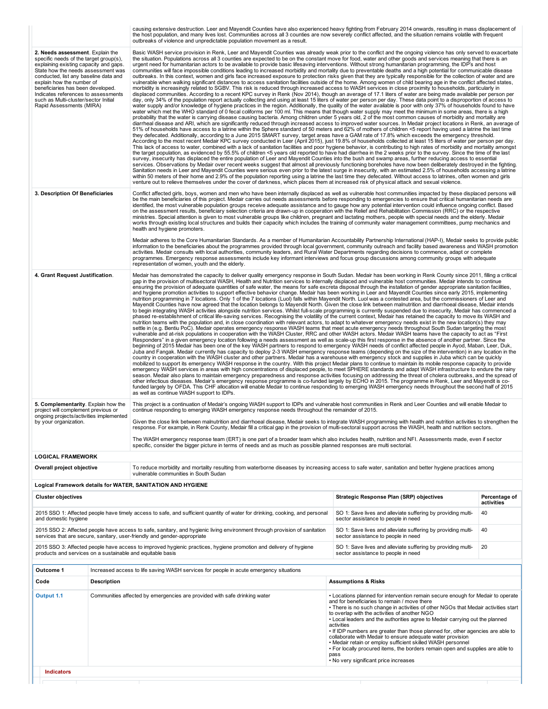|                                                                                                                                                                                                                                                                                                                                                                                  |                    | causing extensive destruction. Leer and Mayendit Counties have also experienced heavy fighting from February 2014 onwards, resulting in mass displacement of<br>the host population, and many lives lost. Communities across all 3 counties are now severely conflict affected, and the situation remains volatile with frequent<br>outbreaks of violence and unpredictable population movement as a result.                                                                                                                                                                                                                                                                                                                                                                                                                                                                                                                                                                                                                                                                                                                                                                                                                                                                                                                                                                                                                                                                                                                                                                                                                                                                                                                                                                                                                                                                                                                                                                                                                                                                                                                                                                                                                                                                                                                                                                                                                                                                                                                                                                                                                                                                                                                                                                                                                                                                                                                                                                                                                                                                                                                                                                                                                                                                                                                                                                                                                                                                                                                                                                                                                                                                                                                                                                                                                                                                      |                                                                                                                                                                                                                                                                                                                                                                                                                                                                                                                                                                                                                                                                                                                         |                             |
|----------------------------------------------------------------------------------------------------------------------------------------------------------------------------------------------------------------------------------------------------------------------------------------------------------------------------------------------------------------------------------|--------------------|-----------------------------------------------------------------------------------------------------------------------------------------------------------------------------------------------------------------------------------------------------------------------------------------------------------------------------------------------------------------------------------------------------------------------------------------------------------------------------------------------------------------------------------------------------------------------------------------------------------------------------------------------------------------------------------------------------------------------------------------------------------------------------------------------------------------------------------------------------------------------------------------------------------------------------------------------------------------------------------------------------------------------------------------------------------------------------------------------------------------------------------------------------------------------------------------------------------------------------------------------------------------------------------------------------------------------------------------------------------------------------------------------------------------------------------------------------------------------------------------------------------------------------------------------------------------------------------------------------------------------------------------------------------------------------------------------------------------------------------------------------------------------------------------------------------------------------------------------------------------------------------------------------------------------------------------------------------------------------------------------------------------------------------------------------------------------------------------------------------------------------------------------------------------------------------------------------------------------------------------------------------------------------------------------------------------------------------------------------------------------------------------------------------------------------------------------------------------------------------------------------------------------------------------------------------------------------------------------------------------------------------------------------------------------------------------------------------------------------------------------------------------------------------------------------------------------------------------------------------------------------------------------------------------------------------------------------------------------------------------------------------------------------------------------------------------------------------------------------------------------------------------------------------------------------------------------------------------------------------------------------------------------------------------------------------------------------------------------------------------------------------------------------------------------------------------------------------------------------------------------------------------------------------------------------------------------------------------------------------------------------------------------------------------------------------------------------------------------------------------------------------------------------------------------------------------------------------------------------------------------------------|-------------------------------------------------------------------------------------------------------------------------------------------------------------------------------------------------------------------------------------------------------------------------------------------------------------------------------------------------------------------------------------------------------------------------------------------------------------------------------------------------------------------------------------------------------------------------------------------------------------------------------------------------------------------------------------------------------------------------|-----------------------------|
| 2. Needs assessment. Explain the<br>specific needs of the target group(s),<br>explaining existing capacity and gaps.<br>State how the needs assessment was<br>conducted, list any baseline data and<br>explain how the number of<br>beneficiaries has been developed.<br>Indicates references to assessments<br>such as Multi-cluster/sector Initial<br>Rapid Assessments (MIRA) |                    | Basic WASH service provision in Renk, Leer and Mayendit Counties was already weak prior to the conflict and the ongoing violence has only served to exacerbate<br>the situation. Populations across all 3 counties are expected to be on the constant move for food, water and other goods and services meaning that there is an<br>urgent need for humanitarian actors to be available to provide basic lifesaving interventions. Without strong humanitarian programming, the IDP's and host<br>communities will face impossible conditions leading to increased morbidity and mortality due to preventable deaths and a high potential for communicable disease<br>outbreaks. In this context, women and girls face increased exposure to protection risks given that they are typically responsible for the collection of water and are<br>vulnerable when walking significant distances to access sanitation facilities outside of the home. Among women of child bearing age in the conflict affected states,<br>morbidity is increasingly related to SGBV. This risk is reduced through increased access to WASH services in close proximity to households, particularly in<br>displaced communities. According to a recent KPC survey in Renk (Nov 2014), though an average of 17.1 liters of water are being made available per person per<br>day, only 34% of the population report actually collecting and using at least 15 liters of water per person per day. These data point to a disproportion of access to<br>water supply and/or knowledge of hygiene practices in the region. Additionally, the quality of the water available is poor with only 37% of households found to have<br>water which met the WHO standard of 0 fecal coliforms per 100 ml. This means that though water supply may meet the minimum in some areas, there is a high<br>probability that the water is carrying disease causing bacteria. Among children under 5 years old, 2 of the most common causes of morbidity and mortality are<br>diarrheal disease and ARI, which are significantly reduced through increased access to improved water sources. In Medair project locations in Renk, an average of<br>51% of households have access to a latrine within the Sphere standard of 50 meters and 62% of mothers of children <5 report having used a latrine the last time<br>they defecated. Additionally, according to a June 2015 SMART survey, target areas have a GAM rate of 17.8% which exceeds the emergency threshold.<br>According to the most recent Medair KPC survey conducted in Leer (April 2015), just 19.8% of households collected at least 15 liters of water per person per day.<br>This lack of access to water, combined with a lack of sanitation facilities and poor hygiene behavior, is contributing to high rates of morbidity and mortality amongst<br>the target population, as evidenced by 55.5% of children <5 years old reported to have had diarrhea in the 2 weeks prior to the survey. Since the time of the last<br>survey, insecurity has displaced the entire population of Leer and Mayendit Counties into the bush and swamp areas, further reducing access to essential<br>services. Observations by Medair over recent weeks suggest that almost all previously functioning boreholes have now been deliberately destroyed in the fighting.<br>Sanitation needs in Leer and Mayendit Counties were serious even prior to the latest surge in insecurity, with an estimated 2.5% of households accessing a latrine<br>within 50 meters of their home and 2.9% of the population reporting using a latrine the last time they defecated. Without access to latrines, often women and girls<br>venture out to relieve themselves under the cover of darkness, which places them at increased risk of physical attack and sexual violence. |                                                                                                                                                                                                                                                                                                                                                                                                                                                                                                                                                                                                                                                                                                                         |                             |
| 3. Description Of Beneficiaries                                                                                                                                                                                                                                                                                                                                                  |                    | Conflict affected girls, boys, women and men who have been internally displaced as well as vulnerable host communities impacted by these displaced persons will<br>be the main beneficiaries of this project. Medair carries out needs assessments before responding to emergencies to ensure that critical humanitarian needs are<br>identified, the most vulnerable population groups receive adequate assistance and to gauge how any potential intervention could influence ongoing conflict. Based<br>on the assessment results, beneficiary selection criteria are drawn-up in cooperation with the Relief and Rehabilitation Commission (RRC) or the respective<br>ministries. Special attention is given to most vulnerable groups like children, pregnant and lactating mothers, people with special needs and the elderly. Medair<br>works through existing local structures and builds their capacity which includes the training of community water management committees, pump mechanics and<br>health and hygiene promoters.                                                                                                                                                                                                                                                                                                                                                                                                                                                                                                                                                                                                                                                                                                                                                                                                                                                                                                                                                                                                                                                                                                                                                                                                                                                                                                                                                                                                                                                                                                                                                                                                                                                                                                                                                                                                                                                                                                                                                                                                                                                                                                                                                                                                                                                                                                                                                                                                                                                                                                                                                                                                                                                                                                                                                                                                                                        |                                                                                                                                                                                                                                                                                                                                                                                                                                                                                                                                                                                                                                                                                                                         |                             |
|                                                                                                                                                                                                                                                                                                                                                                                  |                    | Medair adheres to the Core Humanitarian Standards. As a member of Humanitarian Accountability Partnership International (HAP-I), Medair seeks to provide public<br>information to the beneficiaries about the programmes provided through local government, community outreach and facility based awareness and WASH promotion<br>activities. Medair consults with local authorities, community leaders, and Rural Water Departments regarding decisions to commence, adapt or complete<br>programmes. Emergency response assessments include key informant interviews and focus group discussions among community groups with adequate<br>representation of women, youth and the elderly.                                                                                                                                                                                                                                                                                                                                                                                                                                                                                                                                                                                                                                                                                                                                                                                                                                                                                                                                                                                                                                                                                                                                                                                                                                                                                                                                                                                                                                                                                                                                                                                                                                                                                                                                                                                                                                                                                                                                                                                                                                                                                                                                                                                                                                                                                                                                                                                                                                                                                                                                                                                                                                                                                                                                                                                                                                                                                                                                                                                                                                                                                                                                                                                        |                                                                                                                                                                                                                                                                                                                                                                                                                                                                                                                                                                                                                                                                                                                         |                             |
| 4. Grant Request Justification.                                                                                                                                                                                                                                                                                                                                                  |                    | Medair has demonstrated the capacity to deliver quality emergency response in South Sudan. Medair has been working in Renk County since 2011, filling a critical<br>gap in the provision of multisectoral WASH, Health and Nutrition services to internally displaced and vulnerable host communities. Medair intends to continue<br>ensuring the provision of adequate quantities of safe water, the means for safe excreta disposal through the installation of gender appropriate sanitation facilities,<br>and hygiene promotion activities to support effective behavior change. Medair has been working in Leer and Mayendit Counties since early 2015, implementing<br>nutrition programming in 7 locations. Only 1 of the 7 locations (Luol) falls within Mayendit North. Luol was a contested area, but the commissioners of Leer and<br>Mayendit Counties have now agreed that the location belongs to Mayendit North. Given the close link between malnutrition and diarrhoeal disease, Medair intends<br>to begin integrating WASH activities alongside nutrition services. Whilst full-scale programming is currently suspended due to insecurity, Medair has commenced a<br>phased re-establishment of critical life-saving services. Recognising the volatility of the current context, Medair has retained the capacity to move its WASH and<br>nutrition teams with the population and, in close coordination with relevant actors, to adapt to whatever emergency needs exist in the new location(s) they may<br>settle in (e.g. Bentiu PoC). Medair operates emergency response WASH teams that meet acute emergency needs throughout South Sudan targeting the most<br>vulnerable and at-risk populations in cooperation with the WASH Cluster, RRC and other WASH actors. Medair WASH teams have the capacity to act as "First<br>Responders" in a given emergency location following a needs assessment as well as scale-up this first response in the absence of another partner. Since the<br>beginning of 2015 Medair has been one of the key WASH partners to respond to emergency WASH needs of conflict affected people in Ayod, Maban, Leer, Duk,<br>Juba and Fangak. Medair currently has capacity to deploy 2-3 WASH emergency response teams (depending on the size of the intervention) in any location in the<br>country in cooperation with the WASH cluster and other partners. Medair has a warehouse with emergency stock and supplies in Juba which can be quickly<br>mobilized to support its emergency WASH response in the country. With this project Medair plans to continue to maintain its mobile response capacity to provide<br>emergency WASH services in areas with high concentrations of displaced people, to meet SPHERE standards and adapt WASH infrastructure to endure the rainy<br>season. Medair also plans to maintain emergency preparedness and response activities focusing on addressing the threat of cholera outbreaks, and the spread of<br>other infectious diseases. Medair's emergency response programme is co-funded largely by ECHO in 2015. The programme in Renk, Leer and Mayendit is co-<br>funded largely by OFDA. This CHF allocation will enable Medair to continue responding to emerging WASH emergency needs throughout the second half of 2015<br>as well as continue WASH support to IDPs.                                                                                                                                                                                                                                                                                                                                                                                                                                                                                                   |                                                                                                                                                                                                                                                                                                                                                                                                                                                                                                                                                                                                                                                                                                                         |                             |
| 5. Complementarity. Explain how the<br>project will complement previous or<br>ongoing projects/activities implemented<br>by your organization.                                                                                                                                                                                                                                   |                    | This project is a continuation of Medair's ongoing WASH support to IDPs and vulnerable host communities in Renk and Leer Counties and will enable Medair to<br>continue responding to emerging WASH emergency response needs throughout the remainder of 2015.<br>Given the close link between malnutrition and diarrhoeal disease, Medair seeks to integrate WASH programming with health and nutrition activities to strengthen the<br>response. For example, in Renk County, Medair fill a critical gap in the provision of multi-sectoral support across the WASH, health and nutrition sectors.                                                                                                                                                                                                                                                                                                                                                                                                                                                                                                                                                                                                                                                                                                                                                                                                                                                                                                                                                                                                                                                                                                                                                                                                                                                                                                                                                                                                                                                                                                                                                                                                                                                                                                                                                                                                                                                                                                                                                                                                                                                                                                                                                                                                                                                                                                                                                                                                                                                                                                                                                                                                                                                                                                                                                                                                                                                                                                                                                                                                                                                                                                                                                                                                                                                                              |                                                                                                                                                                                                                                                                                                                                                                                                                                                                                                                                                                                                                                                                                                                         |                             |
|                                                                                                                                                                                                                                                                                                                                                                                  |                    | The WASH emergency response team (ERT) is one part of a broader team which also includes health, nutrition and NFI. Assessments made, even if sector<br>specific, consider the bigger picture in terms of needs and as much as possible planned responses are multi sectorial.                                                                                                                                                                                                                                                                                                                                                                                                                                                                                                                                                                                                                                                                                                                                                                                                                                                                                                                                                                                                                                                                                                                                                                                                                                                                                                                                                                                                                                                                                                                                                                                                                                                                                                                                                                                                                                                                                                                                                                                                                                                                                                                                                                                                                                                                                                                                                                                                                                                                                                                                                                                                                                                                                                                                                                                                                                                                                                                                                                                                                                                                                                                                                                                                                                                                                                                                                                                                                                                                                                                                                                                                    |                                                                                                                                                                                                                                                                                                                                                                                                                                                                                                                                                                                                                                                                                                                         |                             |
| <b>LOGICAL FRAMEWORK</b>                                                                                                                                                                                                                                                                                                                                                         |                    |                                                                                                                                                                                                                                                                                                                                                                                                                                                                                                                                                                                                                                                                                                                                                                                                                                                                                                                                                                                                                                                                                                                                                                                                                                                                                                                                                                                                                                                                                                                                                                                                                                                                                                                                                                                                                                                                                                                                                                                                                                                                                                                                                                                                                                                                                                                                                                                                                                                                                                                                                                                                                                                                                                                                                                                                                                                                                                                                                                                                                                                                                                                                                                                                                                                                                                                                                                                                                                                                                                                                                                                                                                                                                                                                                                                                                                                                                   |                                                                                                                                                                                                                                                                                                                                                                                                                                                                                                                                                                                                                                                                                                                         |                             |
| Overall project objective                                                                                                                                                                                                                                                                                                                                                        |                    | To reduce morbidity and mortality resulting from waterborne diseases by increasing access to safe water, sanitation and better hygiene practices among<br>vulnerable communities in South Sudan                                                                                                                                                                                                                                                                                                                                                                                                                                                                                                                                                                                                                                                                                                                                                                                                                                                                                                                                                                                                                                                                                                                                                                                                                                                                                                                                                                                                                                                                                                                                                                                                                                                                                                                                                                                                                                                                                                                                                                                                                                                                                                                                                                                                                                                                                                                                                                                                                                                                                                                                                                                                                                                                                                                                                                                                                                                                                                                                                                                                                                                                                                                                                                                                                                                                                                                                                                                                                                                                                                                                                                                                                                                                                   |                                                                                                                                                                                                                                                                                                                                                                                                                                                                                                                                                                                                                                                                                                                         |                             |
|                                                                                                                                                                                                                                                                                                                                                                                  |                    | Logical Framework details for WATER, SANITATION AND HYGIENE                                                                                                                                                                                                                                                                                                                                                                                                                                                                                                                                                                                                                                                                                                                                                                                                                                                                                                                                                                                                                                                                                                                                                                                                                                                                                                                                                                                                                                                                                                                                                                                                                                                                                                                                                                                                                                                                                                                                                                                                                                                                                                                                                                                                                                                                                                                                                                                                                                                                                                                                                                                                                                                                                                                                                                                                                                                                                                                                                                                                                                                                                                                                                                                                                                                                                                                                                                                                                                                                                                                                                                                                                                                                                                                                                                                                                       |                                                                                                                                                                                                                                                                                                                                                                                                                                                                                                                                                                                                                                                                                                                         |                             |
| <b>Cluster objectives</b>                                                                                                                                                                                                                                                                                                                                                        |                    |                                                                                                                                                                                                                                                                                                                                                                                                                                                                                                                                                                                                                                                                                                                                                                                                                                                                                                                                                                                                                                                                                                                                                                                                                                                                                                                                                                                                                                                                                                                                                                                                                                                                                                                                                                                                                                                                                                                                                                                                                                                                                                                                                                                                                                                                                                                                                                                                                                                                                                                                                                                                                                                                                                                                                                                                                                                                                                                                                                                                                                                                                                                                                                                                                                                                                                                                                                                                                                                                                                                                                                                                                                                                                                                                                                                                                                                                                   | Strategic Response Plan (SRP) objectives                                                                                                                                                                                                                                                                                                                                                                                                                                                                                                                                                                                                                                                                                | Percentage of<br>activities |
| and domestic hygiene                                                                                                                                                                                                                                                                                                                                                             |                    | 2015 SSO 1: Affected people have timely access to safe, and sufficient quantity of water for drinking, cooking, and personal                                                                                                                                                                                                                                                                                                                                                                                                                                                                                                                                                                                                                                                                                                                                                                                                                                                                                                                                                                                                                                                                                                                                                                                                                                                                                                                                                                                                                                                                                                                                                                                                                                                                                                                                                                                                                                                                                                                                                                                                                                                                                                                                                                                                                                                                                                                                                                                                                                                                                                                                                                                                                                                                                                                                                                                                                                                                                                                                                                                                                                                                                                                                                                                                                                                                                                                                                                                                                                                                                                                                                                                                                                                                                                                                                      | SO 1: Save lives and alleviate suffering by providing multi-<br>sector assistance to people in need                                                                                                                                                                                                                                                                                                                                                                                                                                                                                                                                                                                                                     | 40                          |
|                                                                                                                                                                                                                                                                                                                                                                                  |                    | 2015 SSO 2: Affected people have access to safe, sanitary, and hygienic living environment through provision of sanitation<br>services that are secure, sanitary, user-friendly and gender-appropriate                                                                                                                                                                                                                                                                                                                                                                                                                                                                                                                                                                                                                                                                                                                                                                                                                                                                                                                                                                                                                                                                                                                                                                                                                                                                                                                                                                                                                                                                                                                                                                                                                                                                                                                                                                                                                                                                                                                                                                                                                                                                                                                                                                                                                                                                                                                                                                                                                                                                                                                                                                                                                                                                                                                                                                                                                                                                                                                                                                                                                                                                                                                                                                                                                                                                                                                                                                                                                                                                                                                                                                                                                                                                            | SO 1: Save lives and alleviate suffering by providing multi-<br>sector assistance to people in need                                                                                                                                                                                                                                                                                                                                                                                                                                                                                                                                                                                                                     | 40                          |
| products and services on a sustainable and equitable basis                                                                                                                                                                                                                                                                                                                       |                    | 2015 SSO 3: Affected people have access to improved hygienic practices, hygiene promotion and delivery of hygiene                                                                                                                                                                                                                                                                                                                                                                                                                                                                                                                                                                                                                                                                                                                                                                                                                                                                                                                                                                                                                                                                                                                                                                                                                                                                                                                                                                                                                                                                                                                                                                                                                                                                                                                                                                                                                                                                                                                                                                                                                                                                                                                                                                                                                                                                                                                                                                                                                                                                                                                                                                                                                                                                                                                                                                                                                                                                                                                                                                                                                                                                                                                                                                                                                                                                                                                                                                                                                                                                                                                                                                                                                                                                                                                                                                 | SO 1: Save lives and alleviate suffering by providing multi-<br>sector assistance to people in need                                                                                                                                                                                                                                                                                                                                                                                                                                                                                                                                                                                                                     | 20                          |
| Outcome 1                                                                                                                                                                                                                                                                                                                                                                        |                    | Increased access to life saving WASH services for people in acute emergency situations                                                                                                                                                                                                                                                                                                                                                                                                                                                                                                                                                                                                                                                                                                                                                                                                                                                                                                                                                                                                                                                                                                                                                                                                                                                                                                                                                                                                                                                                                                                                                                                                                                                                                                                                                                                                                                                                                                                                                                                                                                                                                                                                                                                                                                                                                                                                                                                                                                                                                                                                                                                                                                                                                                                                                                                                                                                                                                                                                                                                                                                                                                                                                                                                                                                                                                                                                                                                                                                                                                                                                                                                                                                                                                                                                                                            |                                                                                                                                                                                                                                                                                                                                                                                                                                                                                                                                                                                                                                                                                                                         |                             |
| Code                                                                                                                                                                                                                                                                                                                                                                             | <b>Description</b> |                                                                                                                                                                                                                                                                                                                                                                                                                                                                                                                                                                                                                                                                                                                                                                                                                                                                                                                                                                                                                                                                                                                                                                                                                                                                                                                                                                                                                                                                                                                                                                                                                                                                                                                                                                                                                                                                                                                                                                                                                                                                                                                                                                                                                                                                                                                                                                                                                                                                                                                                                                                                                                                                                                                                                                                                                                                                                                                                                                                                                                                                                                                                                                                                                                                                                                                                                                                                                                                                                                                                                                                                                                                                                                                                                                                                                                                                                   | <b>Assumptions &amp; Risks</b>                                                                                                                                                                                                                                                                                                                                                                                                                                                                                                                                                                                                                                                                                          |                             |
| Output 1.1                                                                                                                                                                                                                                                                                                                                                                       |                    | Communities affected by emergencies are provided with safe drinking water                                                                                                                                                                                                                                                                                                                                                                                                                                                                                                                                                                                                                                                                                                                                                                                                                                                                                                                                                                                                                                                                                                                                                                                                                                                                                                                                                                                                                                                                                                                                                                                                                                                                                                                                                                                                                                                                                                                                                                                                                                                                                                                                                                                                                                                                                                                                                                                                                                                                                                                                                                                                                                                                                                                                                                                                                                                                                                                                                                                                                                                                                                                                                                                                                                                                                                                                                                                                                                                                                                                                                                                                                                                                                                                                                                                                         | • Locations planned for intervention remain secure enough for Medair to operate<br>and for beneficiaries to remain / move there<br>• There is no such change in activities of other NGOs that Medair activities start<br>to overlap with the activities of another NGO<br>• Local leaders and the authorities agree to Medair carrying out the planned<br>activities<br>• If IDP numbers are greater than those planned for, other agencies are able to<br>collaborate with Medair to ensure adequate water provision<br>• Medair retain or employ sufficient skilled WASH personnel<br>• For locally procured items, the borders remain open and supplies are able to<br>pass<br>• No very significant price increases |                             |
| <b>Indicators</b>                                                                                                                                                                                                                                                                                                                                                                |                    |                                                                                                                                                                                                                                                                                                                                                                                                                                                                                                                                                                                                                                                                                                                                                                                                                                                                                                                                                                                                                                                                                                                                                                                                                                                                                                                                                                                                                                                                                                                                                                                                                                                                                                                                                                                                                                                                                                                                                                                                                                                                                                                                                                                                                                                                                                                                                                                                                                                                                                                                                                                                                                                                                                                                                                                                                                                                                                                                                                                                                                                                                                                                                                                                                                                                                                                                                                                                                                                                                                                                                                                                                                                                                                                                                                                                                                                                                   |                                                                                                                                                                                                                                                                                                                                                                                                                                                                                                                                                                                                                                                                                                                         |                             |
|                                                                                                                                                                                                                                                                                                                                                                                  |                    |                                                                                                                                                                                                                                                                                                                                                                                                                                                                                                                                                                                                                                                                                                                                                                                                                                                                                                                                                                                                                                                                                                                                                                                                                                                                                                                                                                                                                                                                                                                                                                                                                                                                                                                                                                                                                                                                                                                                                                                                                                                                                                                                                                                                                                                                                                                                                                                                                                                                                                                                                                                                                                                                                                                                                                                                                                                                                                                                                                                                                                                                                                                                                                                                                                                                                                                                                                                                                                                                                                                                                                                                                                                                                                                                                                                                                                                                                   |                                                                                                                                                                                                                                                                                                                                                                                                                                                                                                                                                                                                                                                                                                                         |                             |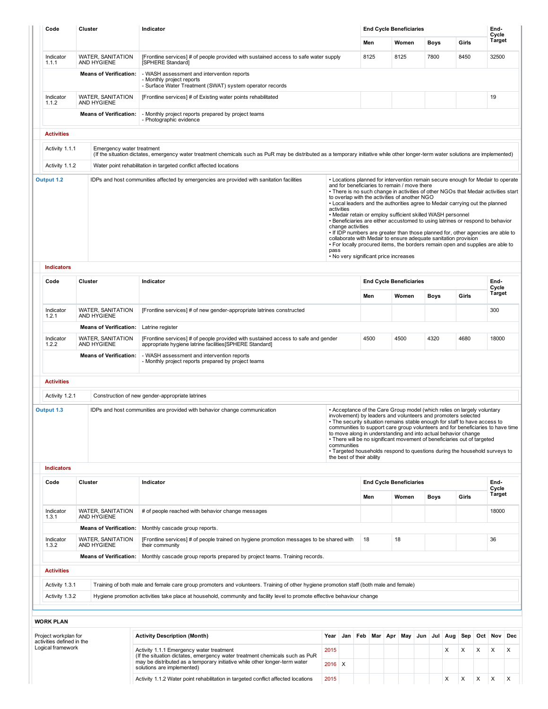| Code                                           |           |                                                    |                                                                                                                                                                                   |                    | <b>End Cycle Beneficiaries</b> |                                                                                                                                                                                                                            |                              |                                |       |       |             |        |                                                                                                                                                                                                                                                                                                                                                                                                                                                                                                                                                                                 |     |                 |   |  |
|------------------------------------------------|-----------|----------------------------------------------------|-----------------------------------------------------------------------------------------------------------------------------------------------------------------------------------|--------------------|--------------------------------|----------------------------------------------------------------------------------------------------------------------------------------------------------------------------------------------------------------------------|------------------------------|--------------------------------|-------|-------|-------------|--------|---------------------------------------------------------------------------------------------------------------------------------------------------------------------------------------------------------------------------------------------------------------------------------------------------------------------------------------------------------------------------------------------------------------------------------------------------------------------------------------------------------------------------------------------------------------------------------|-----|-----------------|---|--|
|                                                |           |                                                    |                                                                                                                                                                                   |                    |                                |                                                                                                                                                                                                                            | Men<br>Women<br>8125<br>8125 |                                |       |       | <b>Boys</b> |        | Girls                                                                                                                                                                                                                                                                                                                                                                                                                                                                                                                                                                           |     | Cycle<br>Target |   |  |
| Indicator<br>1.1.1                             |           | WATER, SANITATION<br>AND HYGIENE                   | [Frontline services] # of people provided with sustained access to safe water supply<br>[SPHERE Standard]                                                                         |                    |                                |                                                                                                                                                                                                                            |                              |                                |       |       | 7800        |        | 8450                                                                                                                                                                                                                                                                                                                                                                                                                                                                                                                                                                            |     | 32500           |   |  |
|                                                |           | <b>Means of Verification:</b>                      | - WASH assessment and intervention reports<br>- Monthly project reports<br>- Surface Water Treatment (SWAT) system operator records                                               |                    |                                |                                                                                                                                                                                                                            |                              |                                |       |       |             |        |                                                                                                                                                                                                                                                                                                                                                                                                                                                                                                                                                                                 |     |                 |   |  |
| Indicator<br>1.1.2                             |           | WATER, SANITATION<br>AND HYGIENE                   | [Frontline services] # of Existing water points rehabilitated                                                                                                                     |                    |                                |                                                                                                                                                                                                                            |                              |                                |       |       |             |        |                                                                                                                                                                                                                                                                                                                                                                                                                                                                                                                                                                                 |     | 19              |   |  |
|                                                |           | <b>Means of Verification:</b>                      | - Monthly project reports prepared by project teams<br>- Photographic evidence                                                                                                    |                    |                                |                                                                                                                                                                                                                            |                              |                                |       |       |             |        |                                                                                                                                                                                                                                                                                                                                                                                                                                                                                                                                                                                 |     |                 |   |  |
| <b>Activities</b>                              |           |                                                    |                                                                                                                                                                                   |                    |                                |                                                                                                                                                                                                                            |                              |                                |       |       |             |        |                                                                                                                                                                                                                                                                                                                                                                                                                                                                                                                                                                                 |     |                 |   |  |
| Activity 1.1.1                                 |           | Emergency water treatment                          | (If the situation dictates, emergency water treatment chemicals such as PuR may be distributed as a temporary initiative while other longer-term water solutions are implemented) |                    |                                |                                                                                                                                                                                                                            |                              |                                |       |       |             |        |                                                                                                                                                                                                                                                                                                                                                                                                                                                                                                                                                                                 |     |                 |   |  |
| Activity 1.1.2                                 |           |                                                    | Water point rehabilitation in targeted conflict affected locations                                                                                                                |                    |                                |                                                                                                                                                                                                                            |                              |                                |       |       |             |        |                                                                                                                                                                                                                                                                                                                                                                                                                                                                                                                                                                                 |     |                 |   |  |
| Output 1.2                                     |           |                                                    | IDPs and host communities affected by emergencies are provided with sanitation facilities                                                                                         | activities<br>pass |                                | and for beneficiaries to remain / move there<br>to overlap with the activities of another NGO<br>• Medair retain or employ sufficient skilled WASH personnel<br>change activities<br>• No very significant price increases |                              |                                |       |       |             |        | • Locations planned for intervention remain secure enough for Medair to operate<br>• There is no such change in activities of other NGOs that Medair activities start<br>• Local leaders and the authorities agree to Medair carrying out the planned<br>• Beneficiaries are either accustomed to using latrines or respond to behavior<br>. If IDP numbers are greater than those planned for, other agencies are able to<br>collaborate with Medair to ensure adequate sanitation provision<br>. For locally procured items, the borders remain open and supplies are able to |     |                 |   |  |
| <b>Indicators</b>                              | Cluster   |                                                    |                                                                                                                                                                                   |                    |                                |                                                                                                                                                                                                                            |                              |                                |       |       |             |        |                                                                                                                                                                                                                                                                                                                                                                                                                                                                                                                                                                                 |     |                 |   |  |
| Code                                           | Indicator |                                                    |                                                                                                                                                                                   |                    |                                | <b>End Cycle Beneficiaries</b>                                                                                                                                                                                             |                              |                                |       |       |             |        | End-<br>Cycle                                                                                                                                                                                                                                                                                                                                                                                                                                                                                                                                                                   |     |                 |   |  |
|                                                |           |                                                    | Men                                                                                                                                                                               |                    |                                | Women                                                                                                                                                                                                                      |                              | <b>Boys</b>                    |       | Girls |             | Target |                                                                                                                                                                                                                                                                                                                                                                                                                                                                                                                                                                                 |     |                 |   |  |
| Indicator<br>1.2.1                             |           | <b>WATER, SANITATION</b><br>AND HYGIENE            | [Frontline services] # of new gender-appropriate latrines constructed                                                                                                             |                    |                                |                                                                                                                                                                                                                            |                              |                                |       |       |             |        |                                                                                                                                                                                                                                                                                                                                                                                                                                                                                                                                                                                 |     | 300             |   |  |
| Indicator                                      |           | <b>Means of Verification:</b><br>WATER, SANITATION | Latrine register<br>[Frontline services] # of people provided with sustained access to safe and gender                                                                            |                    |                                | 4500                                                                                                                                                                                                                       |                              |                                | 4500  |       | 4320        |        | 4680                                                                                                                                                                                                                                                                                                                                                                                                                                                                                                                                                                            |     | 18000           |   |  |
| 1.2.2                                          |           | AND HYGIENE<br><b>Means of Verification:</b>       | appropriate hygiene latrine facilities [SPHERE Standard]<br>- WASH assessment and intervention reports                                                                            |                    |                                |                                                                                                                                                                                                                            |                              |                                |       |       |             |        |                                                                                                                                                                                                                                                                                                                                                                                                                                                                                                                                                                                 |     |                 |   |  |
| <b>Activities</b>                              |           |                                                    | - Monthly project reports prepared by project teams                                                                                                                               |                    |                                |                                                                                                                                                                                                                            |                              |                                |       |       |             |        |                                                                                                                                                                                                                                                                                                                                                                                                                                                                                                                                                                                 |     |                 |   |  |
| Activity 1.2.1                                 |           |                                                    | Construction of new gender-appropriate latrines                                                                                                                                   |                    |                                |                                                                                                                                                                                                                            |                              |                                |       |       |             |        |                                                                                                                                                                                                                                                                                                                                                                                                                                                                                                                                                                                 |     |                 |   |  |
| Output 1.3<br><b>Indicators</b>                |           |                                                    | IDPs and host communities are provided with behavior change communication                                                                                                         |                    | communities                    | the best of their ability                                                                                                                                                                                                  |                              |                                |       |       |             |        | • Acceptance of the Care Group model (which relies on largely voluntary<br>involvement) by leaders and volunteers and promoters selected<br>• The security situation remains stable enough for staff to have access to<br>communities to support care group volunteers and for beneficiaries to have time<br>to move along in understanding and into actual behavior change<br>• There will be no significant movement of beneficiaries out of targeted<br>• Targeted households respond to questions during the household surveys to                                           |     |                 |   |  |
| Code                                           | Cluster   |                                                    | Indicator                                                                                                                                                                         |                    |                                |                                                                                                                                                                                                                            |                              | <b>End Cycle Beneficiaries</b> |       |       |             |        |                                                                                                                                                                                                                                                                                                                                                                                                                                                                                                                                                                                 |     | End-            |   |  |
|                                                |           |                                                    |                                                                                                                                                                                   |                    |                                | Men                                                                                                                                                                                                                        |                              |                                | Women |       | <b>Boys</b> |        | Girls                                                                                                                                                                                                                                                                                                                                                                                                                                                                                                                                                                           |     | Cycle<br>Target |   |  |
| Indicator<br>1.3.1                             |           | <b>WATER, SANITATION</b><br>AND HYGIENE            | # of people reached with behavior change messages                                                                                                                                 |                    |                                |                                                                                                                                                                                                                            |                              |                                |       |       |             |        |                                                                                                                                                                                                                                                                                                                                                                                                                                                                                                                                                                                 |     | 18000           |   |  |
|                                                |           | <b>Means of Verification:</b>                      | Monthly cascade group reports.                                                                                                                                                    |                    |                                |                                                                                                                                                                                                                            |                              |                                |       |       |             |        |                                                                                                                                                                                                                                                                                                                                                                                                                                                                                                                                                                                 |     |                 |   |  |
| Indicator<br>1.3.2                             |           | <b>WATER, SANITATION</b><br>AND HYGIENE            | [Frontline services] # of people trained on hygiene promotion messages to be shared with<br>their community                                                                       |                    |                                | 18                                                                                                                                                                                                                         |                              | 18                             |       |       |             |        |                                                                                                                                                                                                                                                                                                                                                                                                                                                                                                                                                                                 |     | 36              |   |  |
|                                                |           | <b>Means of Verification:</b>                      | Monthly cascade group reports prepared by project teams. Training records.                                                                                                        |                    |                                |                                                                                                                                                                                                                            |                              |                                |       |       |             |        |                                                                                                                                                                                                                                                                                                                                                                                                                                                                                                                                                                                 |     |                 |   |  |
| <b>Activities</b>                              |           |                                                    |                                                                                                                                                                                   |                    |                                |                                                                                                                                                                                                                            |                              |                                |       |       |             |        |                                                                                                                                                                                                                                                                                                                                                                                                                                                                                                                                                                                 |     |                 |   |  |
| Activity 1.3.1                                 |           |                                                    | Training of both male and female care group promoters and volunteers. Training of other hygiene promotion staff (both male and female)                                            |                    |                                |                                                                                                                                                                                                                            |                              |                                |       |       |             |        |                                                                                                                                                                                                                                                                                                                                                                                                                                                                                                                                                                                 |     |                 |   |  |
| Activity 1.3.2                                 |           |                                                    | Hygiene promotion activities take place at household, community and facility level to promote effective behaviour change                                                          |                    |                                |                                                                                                                                                                                                                            |                              |                                |       |       |             |        |                                                                                                                                                                                                                                                                                                                                                                                                                                                                                                                                                                                 |     |                 |   |  |
| <b>WORK PLAN</b>                               |           |                                                    |                                                                                                                                                                                   |                    |                                |                                                                                                                                                                                                                            |                              |                                |       |       |             |        |                                                                                                                                                                                                                                                                                                                                                                                                                                                                                                                                                                                 |     |                 |   |  |
| Project workplan for                           |           |                                                    | <b>Activity Description (Month)</b>                                                                                                                                               | Year               | Jan                            | Feb                                                                                                                                                                                                                        | Mar                          | Apr May                        |       | Jun   | Jul         | Aug    | Sep                                                                                                                                                                                                                                                                                                                                                                                                                                                                                                                                                                             | Oct | Nov Dec         |   |  |
| activities defined in the<br>Logical framework |           |                                                    | Activity 1.1.1 Emergency water treatment<br>(If the situation dictates, emergency water treatment chemicals such as PuR                                                           | 2015               |                                |                                                                                                                                                                                                                            |                              |                                |       |       |             | X      | Х                                                                                                                                                                                                                                                                                                                                                                                                                                                                                                                                                                               | х   | Х               | Х |  |
|                                                |           |                                                    | may be distributed as a temporary initiative while other longer-term water<br>solutions are implemented)                                                                          | $2016$ X           |                                |                                                                                                                                                                                                                            |                              |                                |       |       |             |        |                                                                                                                                                                                                                                                                                                                                                                                                                                                                                                                                                                                 |     |                 |   |  |
|                                                |           |                                                    | Activity 1.1.2 Water point rehabilitation in targeted conflict affected locations                                                                                                 | 2015               |                                |                                                                                                                                                                                                                            |                              |                                |       |       |             | X      | X                                                                                                                                                                                                                                                                                                                                                                                                                                                                                                                                                                               | Х   | X               | X |  |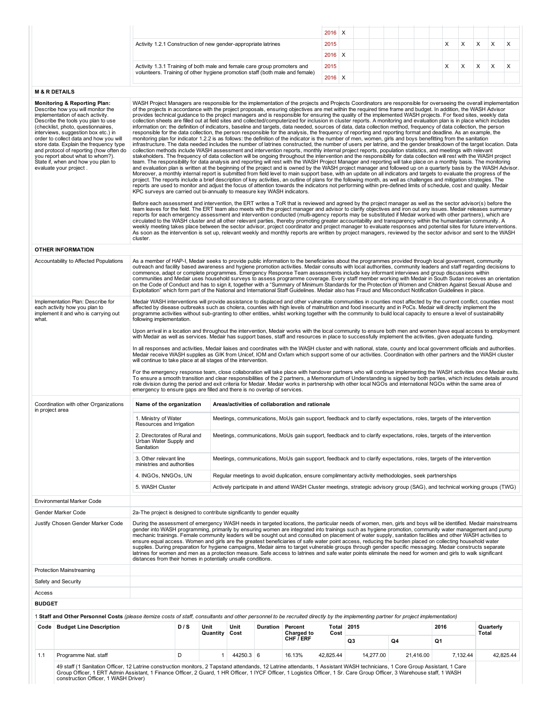|                                                                                                                                                          | $2016$ X |  |  |  |  |  |  |
|----------------------------------------------------------------------------------------------------------------------------------------------------------|----------|--|--|--|--|--|--|
| Activity 1.2.1 Construction of new gender-appropriate latrines                                                                                           | 2015     |  |  |  |  |  |  |
|                                                                                                                                                          | $2016$ X |  |  |  |  |  |  |
| Activity 1.3.1 Training of both male and female care group promoters and<br>volunteers. Training of other hygiene promotion staff (both male and female) | 2015     |  |  |  |  |  |  |
|                                                                                                                                                          | $2016$ X |  |  |  |  |  |  |

## M & R DETAILS

|                 | <b>Monitoring &amp; Reporting Plan:</b><br>Describe how you will monitor the<br>implementation of each activity.<br>Describe the tools you plan to use<br>(checklist, photo, questionnaires,<br>interviews, suggestion box etc.) in<br>order to collect data and how you will<br>store data. Explain the frequency type<br>and protocol of reporting (how often do<br>you report about what to whom?).<br>State if, when and how you plan to<br>evaluate your project. | KPC surveys are carried out bi-annually to measure key WASH indicators.<br>cluster. |     |                  |              |          |                                                 |               |                                                                                                       |           | WASH Project Managers are responsible for the implementation of the projects and Projects Coordinators are responsible for overseeing the overall implementation<br>of the projects in accordance with the project proposals, ensuring objectives are met within the required time frame and budget. In addition, the WASH Advisor<br>provides technical guidance to the project managers and is responsible for ensuring the quality of the implemented WASH projects. For fixed sites, weekly data<br>collection sheets are filled out at field sites and collected/computerized for inclusion in cluster reports. A monitoring and evaluation plan is in place which includes<br>information on: the definition of indicators, baseline and targets, data needed, sources of data, data collection method, frequency of data collection, the person<br>responsible for the data collection, the person responsible for the analysis, the frequency of reporting and reporting format and deadline. As an example, the<br>monitoring plan for indicator 1.2.2 is as follows: the definition of the indicator is the number of men, women, girls and boys benefitting from the sanitation<br>infrastructure. The data needed includes the number of latrines constructed, the number of users per latrine, and the gender breakdown of the target location. Data<br>collection methods include WASH assessment and intervention reports, monthly internal project reports, population statistics, and meetings with relevant<br>stakeholders. The frequency of data collection will be ongoing throughout the intervention and the responsibility for data collection will rest with the WASH project<br>team. The responsibility for data analysis and reporting will rest with the WASH Project Manager and reporting will take place on a monthly basis. The monitoring<br>and evaluation plan is written at the beginning of the project and is owned by the WASH project manager and followed up on a quarterly basis by the WASH Advisor.<br>Moreover, a monthly internal report is submitted from field level to main support base, with an update on all indicators and targets to evaluate the progress of the<br>project. The reports include a brief description of key activities, an outline of plans for the following month, as well as challenges and mitigation strategies. The<br>reports are used to monitor and adjust the focus of attention towards the indicators not performing within pre-defined limits of schedule, cost and quality. Medair<br>Before each assessment and intervention, the ERT writes a ToR that is reviewed and agreed by the project manager as well as the sector advisor(s) before the<br>team leaves for the field. The ERT team also meets with the project manager and advisor to clarify objectives and iron out any issues. Medair releases summary<br>reports for each emergency assessment and intervention conducted (multi-agency reports may be substituted if Medair worked with other partners), which are<br>circulated to the WASH cluster and all other relevant parties, thereby promoting greater accountability and transparency within the humanitarian community. A<br>weekly meeting takes place between the sector advisor, project coordinator and project manager to evaluate responses and potential sites for future interventions.<br>As soon as the intervention is set up, relevant weekly and monthly reports are written by project managers, reviewed by the sector advisor and sent to the WASH |                                                                                                                                                                |
|-----------------|------------------------------------------------------------------------------------------------------------------------------------------------------------------------------------------------------------------------------------------------------------------------------------------------------------------------------------------------------------------------------------------------------------------------------------------------------------------------|-------------------------------------------------------------------------------------|-----|------------------|--------------|----------|-------------------------------------------------|---------------|-------------------------------------------------------------------------------------------------------|-----------|------------------------------------------------------------------------------------------------------------------------------------------------------------------------------------------------------------------------------------------------------------------------------------------------------------------------------------------------------------------------------------------------------------------------------------------------------------------------------------------------------------------------------------------------------------------------------------------------------------------------------------------------------------------------------------------------------------------------------------------------------------------------------------------------------------------------------------------------------------------------------------------------------------------------------------------------------------------------------------------------------------------------------------------------------------------------------------------------------------------------------------------------------------------------------------------------------------------------------------------------------------------------------------------------------------------------------------------------------------------------------------------------------------------------------------------------------------------------------------------------------------------------------------------------------------------------------------------------------------------------------------------------------------------------------------------------------------------------------------------------------------------------------------------------------------------------------------------------------------------------------------------------------------------------------------------------------------------------------------------------------------------------------------------------------------------------------------------------------------------------------------------------------------------------------------------------------------------------------------------------------------------------------------------------------------------------------------------------------------------------------------------------------------------------------------------------------------------------------------------------------------------------------------------------------------------------------------------------------------------------------------------------------------------------------------------------------------------------------------------------------------------------------------------------------------------------------------------------------------------------------------------------------------------------------------------------------------------------------------------------------------------------------------------------------------------------------------------------------------------------------------------------------------------------------------------------------------------------------------------------------------------------------------------------------------------------------------------------------------------------------------------------------------------------------------------------------------------------------------------------------------------------------------------------------------------------------------|----------------------------------------------------------------------------------------------------------------------------------------------------------------|
|                 | <b>OTHER INFORMATION</b>                                                                                                                                                                                                                                                                                                                                                                                                                                               |                                                                                     |     |                  |              |          |                                                 |               |                                                                                                       |           |                                                                                                                                                                                                                                                                                                                                                                                                                                                                                                                                                                                                                                                                                                                                                                                                                                                                                                                                                                                                                                                                                                                                                                                                                                                                                                                                                                                                                                                                                                                                                                                                                                                                                                                                                                                                                                                                                                                                                                                                                                                                                                                                                                                                                                                                                                                                                                                                                                                                                                                                                                                                                                                                                                                                                                                                                                                                                                                                                                                                                                                                                                                                                                                                                                                                                                                                                                                                                                                                                                                                                                                    |                                                                                                                                                                |
|                 | Accountability to Affected Populations                                                                                                                                                                                                                                                                                                                                                                                                                                 |                                                                                     |     |                  |              |          |                                                 |               |                                                                                                       |           | As a member of HAP-I, Medair seeks to provide public information to the beneficiaries about the programmes provided through local government, community<br>outreach and facility based awareness and hygiene promotion activities. Medair consults with local authorities, community leaders and staff regarding decisions to<br>commence, adapt or complete programmes. Emergency Response Team assessments include key informant interviews and group discussions within<br>on the Code of Conduct and has to sign it, together with a "Summary of Minimum Standards for the Protection of Women and Children Against Sexual Abuse and<br>Exploitation" which form part of the National and International Staff Guidelines. Medair also has Fraud and Misconduct Notification Guidelines in place.                                                                                                                                                                                                                                                                                                                                                                                                                                                                                                                                                                                                                                                                                                                                                                                                                                                                                                                                                                                                                                                                                                                                                                                                                                                                                                                                                                                                                                                                                                                                                                                                                                                                                                                                                                                                                                                                                                                                                                                                                                                                                                                                                                                                                                                                                                                                                                                                                                                                                                                                                                                                                                                                                                                                                                               | communities and Medair uses household surveys to assess programme coverage. Every staff member working with Medair in South Sudan receives an orientation      |
| what.           | Implementation Plan: Describe for<br>each activity how you plan to<br>implement it and who is carrying out                                                                                                                                                                                                                                                                                                                                                             | following implementation.                                                           |     |                  |              |          |                                                 |               |                                                                                                       |           | Medair WASH interventions will provide assistance to displaced and other vulnerable communities in counties most affected by the current conflict, counties most<br>affected by disease outbreaks such as cholera, counties with high levels of malnutrition and food insecurity and in PoCs. Medair will directly implement the<br>programme activities without sub-granting to other entities, whilst working together with the community to build local capacity to ensure a level of sustainability                                                                                                                                                                                                                                                                                                                                                                                                                                                                                                                                                                                                                                                                                                                                                                                                                                                                                                                                                                                                                                                                                                                                                                                                                                                                                                                                                                                                                                                                                                                                                                                                                                                                                                                                                                                                                                                                                                                                                                                                                                                                                                                                                                                                                                                                                                                                                                                                                                                                                                                                                                                                                                                                                                                                                                                                                                                                                                                                                                                                                                                                            |                                                                                                                                                                |
|                 |                                                                                                                                                                                                                                                                                                                                                                                                                                                                        |                                                                                     |     |                  |              |          |                                                 |               |                                                                                                       |           | with Medair as well as services. Medair has support bases, staff and resources in place to successfully implement the activities, given adequate funding.                                                                                                                                                                                                                                                                                                                                                                                                                                                                                                                                                                                                                                                                                                                                                                                                                                                                                                                                                                                                                                                                                                                                                                                                                                                                                                                                                                                                                                                                                                                                                                                                                                                                                                                                                                                                                                                                                                                                                                                                                                                                                                                                                                                                                                                                                                                                                                                                                                                                                                                                                                                                                                                                                                                                                                                                                                                                                                                                                                                                                                                                                                                                                                                                                                                                                                                                                                                                                          | Upon arrival in a location and throughout the intervention, Medair works with the local community to ensure both men and women have equal access to employment |
|                 |                                                                                                                                                                                                                                                                                                                                                                                                                                                                        | will continue to take place at all stages of the intervention.                      |     |                  |              |          |                                                 |               |                                                                                                       |           | In all responses and activities, Medair liaises and coordinates with the WASH cluster and with national, state, county and local government officials and authorities.<br>Medair receive WASH supplies as GIK from Unicef, IOM and Oxfam which support some of our activities. Coordination with other partners and the WASH cluster                                                                                                                                                                                                                                                                                                                                                                                                                                                                                                                                                                                                                                                                                                                                                                                                                                                                                                                                                                                                                                                                                                                                                                                                                                                                                                                                                                                                                                                                                                                                                                                                                                                                                                                                                                                                                                                                                                                                                                                                                                                                                                                                                                                                                                                                                                                                                                                                                                                                                                                                                                                                                                                                                                                                                                                                                                                                                                                                                                                                                                                                                                                                                                                                                                               |                                                                                                                                                                |
|                 |                                                                                                                                                                                                                                                                                                                                                                                                                                                                        | emergency to ensure gaps are filled and there is no overlap of services.            |     |                  |              |          |                                                 |               |                                                                                                       |           | For the emergency response team, close collaboration will take place with handover partners who will continue implementing the WASH activities once Medair exits.<br>To ensure a smooth transition and clear responsibilities of the 2 partners, a Memorandum of Understanding is signed by both parties, which includes details around<br>role division during the period and exit criteria for Medair. Medair works in partnership with other local NGOs and international NGOs within the same area of                                                                                                                                                                                                                                                                                                                                                                                                                                                                                                                                                                                                                                                                                                                                                                                                                                                                                                                                                                                                                                                                                                                                                                                                                                                                                                                                                                                                                                                                                                                                                                                                                                                                                                                                                                                                                                                                                                                                                                                                                                                                                                                                                                                                                                                                                                                                                                                                                                                                                                                                                                                                                                                                                                                                                                                                                                                                                                                                                                                                                                                                          |                                                                                                                                                                |
| in project area | Coordination with other Organizations                                                                                                                                                                                                                                                                                                                                                                                                                                  | Name of the organization                                                            |     |                  |              |          | Areas/activities of collaboration and rationale |               |                                                                                                       |           |                                                                                                                                                                                                                                                                                                                                                                                                                                                                                                                                                                                                                                                                                                                                                                                                                                                                                                                                                                                                                                                                                                                                                                                                                                                                                                                                                                                                                                                                                                                                                                                                                                                                                                                                                                                                                                                                                                                                                                                                                                                                                                                                                                                                                                                                                                                                                                                                                                                                                                                                                                                                                                                                                                                                                                                                                                                                                                                                                                                                                                                                                                                                                                                                                                                                                                                                                                                                                                                                                                                                                                                    |                                                                                                                                                                |
|                 |                                                                                                                                                                                                                                                                                                                                                                                                                                                                        | 1. Ministry of Water<br>Resources and Irrigation                                    |     |                  |              |          |                                                 |               |                                                                                                       |           | Meetings, communications, MoUs gain support, feedback and to clarify expectations, roles, targets of the intervention                                                                                                                                                                                                                                                                                                                                                                                                                                                                                                                                                                                                                                                                                                                                                                                                                                                                                                                                                                                                                                                                                                                                                                                                                                                                                                                                                                                                                                                                                                                                                                                                                                                                                                                                                                                                                                                                                                                                                                                                                                                                                                                                                                                                                                                                                                                                                                                                                                                                                                                                                                                                                                                                                                                                                                                                                                                                                                                                                                                                                                                                                                                                                                                                                                                                                                                                                                                                                                                              |                                                                                                                                                                |
|                 |                                                                                                                                                                                                                                                                                                                                                                                                                                                                        | 2. Directorates of Rural and<br>Urban Water Supply and<br>Sanitation                |     |                  |              |          |                                                 |               |                                                                                                       |           | Meetings, communications, MoUs gain support, feedback and to clarify expectations, roles, targets of the intervention                                                                                                                                                                                                                                                                                                                                                                                                                                                                                                                                                                                                                                                                                                                                                                                                                                                                                                                                                                                                                                                                                                                                                                                                                                                                                                                                                                                                                                                                                                                                                                                                                                                                                                                                                                                                                                                                                                                                                                                                                                                                                                                                                                                                                                                                                                                                                                                                                                                                                                                                                                                                                                                                                                                                                                                                                                                                                                                                                                                                                                                                                                                                                                                                                                                                                                                                                                                                                                                              |                                                                                                                                                                |
|                 |                                                                                                                                                                                                                                                                                                                                                                                                                                                                        | 3. Other relevant line<br>ministries and authorities                                |     |                  |              |          |                                                 |               |                                                                                                       |           | Meetings, communications, MoUs gain support, feedback and to clarify expectations, roles, targets of the intervention                                                                                                                                                                                                                                                                                                                                                                                                                                                                                                                                                                                                                                                                                                                                                                                                                                                                                                                                                                                                                                                                                                                                                                                                                                                                                                                                                                                                                                                                                                                                                                                                                                                                                                                                                                                                                                                                                                                                                                                                                                                                                                                                                                                                                                                                                                                                                                                                                                                                                                                                                                                                                                                                                                                                                                                                                                                                                                                                                                                                                                                                                                                                                                                                                                                                                                                                                                                                                                                              |                                                                                                                                                                |
|                 |                                                                                                                                                                                                                                                                                                                                                                                                                                                                        | 4. INGOs, NNGOs, UN                                                                 |     |                  |              |          |                                                 |               | Regular meetings to avoid duplication, ensure complimentary activity methodologies, seek partnerships |           |                                                                                                                                                                                                                                                                                                                                                                                                                                                                                                                                                                                                                                                                                                                                                                                                                                                                                                                                                                                                                                                                                                                                                                                                                                                                                                                                                                                                                                                                                                                                                                                                                                                                                                                                                                                                                                                                                                                                                                                                                                                                                                                                                                                                                                                                                                                                                                                                                                                                                                                                                                                                                                                                                                                                                                                                                                                                                                                                                                                                                                                                                                                                                                                                                                                                                                                                                                                                                                                                                                                                                                                    |                                                                                                                                                                |
|                 |                                                                                                                                                                                                                                                                                                                                                                                                                                                                        | 5. WASH Cluster                                                                     |     |                  |              |          |                                                 |               |                                                                                                       |           | Actively participate in and attend WASH Cluster meetings, strategic advisory group (SAG), and technical working groups (TWG)                                                                                                                                                                                                                                                                                                                                                                                                                                                                                                                                                                                                                                                                                                                                                                                                                                                                                                                                                                                                                                                                                                                                                                                                                                                                                                                                                                                                                                                                                                                                                                                                                                                                                                                                                                                                                                                                                                                                                                                                                                                                                                                                                                                                                                                                                                                                                                                                                                                                                                                                                                                                                                                                                                                                                                                                                                                                                                                                                                                                                                                                                                                                                                                                                                                                                                                                                                                                                                                       |                                                                                                                                                                |
|                 | Environmental Marker Code                                                                                                                                                                                                                                                                                                                                                                                                                                              |                                                                                     |     |                  |              |          |                                                 |               |                                                                                                       |           |                                                                                                                                                                                                                                                                                                                                                                                                                                                                                                                                                                                                                                                                                                                                                                                                                                                                                                                                                                                                                                                                                                                                                                                                                                                                                                                                                                                                                                                                                                                                                                                                                                                                                                                                                                                                                                                                                                                                                                                                                                                                                                                                                                                                                                                                                                                                                                                                                                                                                                                                                                                                                                                                                                                                                                                                                                                                                                                                                                                                                                                                                                                                                                                                                                                                                                                                                                                                                                                                                                                                                                                    |                                                                                                                                                                |
|                 | Gender Marker Code                                                                                                                                                                                                                                                                                                                                                                                                                                                     | 2a-The project is designed to contribute significantly to gender equality           |     |                  |              |          |                                                 |               |                                                                                                       |           |                                                                                                                                                                                                                                                                                                                                                                                                                                                                                                                                                                                                                                                                                                                                                                                                                                                                                                                                                                                                                                                                                                                                                                                                                                                                                                                                                                                                                                                                                                                                                                                                                                                                                                                                                                                                                                                                                                                                                                                                                                                                                                                                                                                                                                                                                                                                                                                                                                                                                                                                                                                                                                                                                                                                                                                                                                                                                                                                                                                                                                                                                                                                                                                                                                                                                                                                                                                                                                                                                                                                                                                    |                                                                                                                                                                |
|                 | Justify Chosen Gender Marker Code                                                                                                                                                                                                                                                                                                                                                                                                                                      | distances from their homes in potentially unsafe conditions.                        |     |                  |              |          |                                                 |               |                                                                                                       |           | During the assessment of emergency WASH needs in targeted locations, the particular needs of women, men, girls and boys will be identified. Medair mainstreams<br>gender into WASH programming, primarily by ensuring women are integrated into trainings such as hygiene promotion, community water management and pump<br>mechanic trainings. Female community leaders will be sought out and consulted on placement of water supply, sanitation facilities and other WASH activities to<br>ensure equal access. Women and girls are the greatest beneficiaries of safe water point access, reducing the burden placed on collecting household water<br>supplies. During preparation for hygiene campaigns, Medair aims to target vulnerable groups through gender specific messaging. Medair constructs separate<br>latrines for women and men as a protection measure. Safe access to latrines and safe water points eliminate the need for women and girls to walk significant                                                                                                                                                                                                                                                                                                                                                                                                                                                                                                                                                                                                                                                                                                                                                                                                                                                                                                                                                                                                                                                                                                                                                                                                                                                                                                                                                                                                                                                                                                                                                                                                                                                                                                                                                                                                                                                                                                                                                                                                                                                                                                                                                                                                                                                                                                                                                                                                                                                                                                                                                                                                |                                                                                                                                                                |
|                 | <b>Protection Mainstreaming</b>                                                                                                                                                                                                                                                                                                                                                                                                                                        |                                                                                     |     |                  |              |          |                                                 |               |                                                                                                       |           |                                                                                                                                                                                                                                                                                                                                                                                                                                                                                                                                                                                                                                                                                                                                                                                                                                                                                                                                                                                                                                                                                                                                                                                                                                                                                                                                                                                                                                                                                                                                                                                                                                                                                                                                                                                                                                                                                                                                                                                                                                                                                                                                                                                                                                                                                                                                                                                                                                                                                                                                                                                                                                                                                                                                                                                                                                                                                                                                                                                                                                                                                                                                                                                                                                                                                                                                                                                                                                                                                                                                                                                    |                                                                                                                                                                |
|                 | Safety and Security                                                                                                                                                                                                                                                                                                                                                                                                                                                    |                                                                                     |     |                  |              |          |                                                 |               |                                                                                                       |           |                                                                                                                                                                                                                                                                                                                                                                                                                                                                                                                                                                                                                                                                                                                                                                                                                                                                                                                                                                                                                                                                                                                                                                                                                                                                                                                                                                                                                                                                                                                                                                                                                                                                                                                                                                                                                                                                                                                                                                                                                                                                                                                                                                                                                                                                                                                                                                                                                                                                                                                                                                                                                                                                                                                                                                                                                                                                                                                                                                                                                                                                                                                                                                                                                                                                                                                                                                                                                                                                                                                                                                                    |                                                                                                                                                                |
| Access          |                                                                                                                                                                                                                                                                                                                                                                                                                                                                        |                                                                                     |     |                  |              |          |                                                 |               |                                                                                                       |           |                                                                                                                                                                                                                                                                                                                                                                                                                                                                                                                                                                                                                                                                                                                                                                                                                                                                                                                                                                                                                                                                                                                                                                                                                                                                                                                                                                                                                                                                                                                                                                                                                                                                                                                                                                                                                                                                                                                                                                                                                                                                                                                                                                                                                                                                                                                                                                                                                                                                                                                                                                                                                                                                                                                                                                                                                                                                                                                                                                                                                                                                                                                                                                                                                                                                                                                                                                                                                                                                                                                                                                                    |                                                                                                                                                                |
| <b>BUDGET</b>   |                                                                                                                                                                                                                                                                                                                                                                                                                                                                        |                                                                                     |     |                  |              |          |                                                 |               |                                                                                                       |           |                                                                                                                                                                                                                                                                                                                                                                                                                                                                                                                                                                                                                                                                                                                                                                                                                                                                                                                                                                                                                                                                                                                                                                                                                                                                                                                                                                                                                                                                                                                                                                                                                                                                                                                                                                                                                                                                                                                                                                                                                                                                                                                                                                                                                                                                                                                                                                                                                                                                                                                                                                                                                                                                                                                                                                                                                                                                                                                                                                                                                                                                                                                                                                                                                                                                                                                                                                                                                                                                                                                                                                                    |                                                                                                                                                                |
|                 |                                                                                                                                                                                                                                                                                                                                                                                                                                                                        |                                                                                     |     |                  |              |          |                                                 |               |                                                                                                       |           |                                                                                                                                                                                                                                                                                                                                                                                                                                                                                                                                                                                                                                                                                                                                                                                                                                                                                                                                                                                                                                                                                                                                                                                                                                                                                                                                                                                                                                                                                                                                                                                                                                                                                                                                                                                                                                                                                                                                                                                                                                                                                                                                                                                                                                                                                                                                                                                                                                                                                                                                                                                                                                                                                                                                                                                                                                                                                                                                                                                                                                                                                                                                                                                                                                                                                                                                                                                                                                                                                                                                                                                    |                                                                                                                                                                |
|                 | 1 Staff and Other Personnel Costs (please itemize costs of staff, consultants and other personnel to be recruited directly by the implementing partner for project implementation)                                                                                                                                                                                                                                                                                     |                                                                                     |     |                  |              |          |                                                 |               |                                                                                                       |           |                                                                                                                                                                                                                                                                                                                                                                                                                                                                                                                                                                                                                                                                                                                                                                                                                                                                                                                                                                                                                                                                                                                                                                                                                                                                                                                                                                                                                                                                                                                                                                                                                                                                                                                                                                                                                                                                                                                                                                                                                                                                                                                                                                                                                                                                                                                                                                                                                                                                                                                                                                                                                                                                                                                                                                                                                                                                                                                                                                                                                                                                                                                                                                                                                                                                                                                                                                                                                                                                                                                                                                                    |                                                                                                                                                                |
|                 | Code   Budget Line Description                                                                                                                                                                                                                                                                                                                                                                                                                                         |                                                                                     | D/S | Unit<br>Quantity | Unit<br>Cost | Duration | Percent<br>Charged to<br>CHF / ERF              | Total<br>Cost | 2015<br>Q3                                                                                            | Q4        | 2016<br>Q1                                                                                                                                                                                                                                                                                                                                                                                                                                                                                                                                                                                                                                                                                                                                                                                                                                                                                                                                                                                                                                                                                                                                                                                                                                                                                                                                                                                                                                                                                                                                                                                                                                                                                                                                                                                                                                                                                                                                                                                                                                                                                                                                                                                                                                                                                                                                                                                                                                                                                                                                                                                                                                                                                                                                                                                                                                                                                                                                                                                                                                                                                                                                                                                                                                                                                                                                                                                                                                                                                                                                                                         | Quarterly<br>Total                                                                                                                                             |
| 1.1             |                                                                                                                                                                                                                                                                                                                                                                                                                                                                        |                                                                                     | D   | $\mathbf{1}$     | 44250.3 6    |          | 16.13%                                          | 42,825.44     | 14,277.00                                                                                             | 21,416.00 | 7,132.44                                                                                                                                                                                                                                                                                                                                                                                                                                                                                                                                                                                                                                                                                                                                                                                                                                                                                                                                                                                                                                                                                                                                                                                                                                                                                                                                                                                                                                                                                                                                                                                                                                                                                                                                                                                                                                                                                                                                                                                                                                                                                                                                                                                                                                                                                                                                                                                                                                                                                                                                                                                                                                                                                                                                                                                                                                                                                                                                                                                                                                                                                                                                                                                                                                                                                                                                                                                                                                                                                                                                                                           | 42,825.44                                                                                                                                                      |
|                 | Programme Nat. staff                                                                                                                                                                                                                                                                                                                                                                                                                                                   |                                                                                     |     |                  |              |          |                                                 |               |                                                                                                       |           |                                                                                                                                                                                                                                                                                                                                                                                                                                                                                                                                                                                                                                                                                                                                                                                                                                                                                                                                                                                                                                                                                                                                                                                                                                                                                                                                                                                                                                                                                                                                                                                                                                                                                                                                                                                                                                                                                                                                                                                                                                                                                                                                                                                                                                                                                                                                                                                                                                                                                                                                                                                                                                                                                                                                                                                                                                                                                                                                                                                                                                                                                                                                                                                                                                                                                                                                                                                                                                                                                                                                                                                    |                                                                                                                                                                |
|                 | 49 staff (1 Sanitation Officer, 12 Latrine construction monitors, 2 Tapstand attendands, 12 Latrine attendants, 1 Assistant WASH technicians, 1 Core Group Assistant, 1 Care<br>Group Officer, 1 ERT Admin Assistant, 1 Finance Officer, 2 Guard, 1 HR Officer, 1 IYCF Officer, 1 Logistics Officer, 1 Sr. Care Group Officer, 3 Warehouse staff, 1 WASH<br>construction Officer, 1 WASH Driver)                                                                       |                                                                                     |     |                  |              |          |                                                 |               |                                                                                                       |           |                                                                                                                                                                                                                                                                                                                                                                                                                                                                                                                                                                                                                                                                                                                                                                                                                                                                                                                                                                                                                                                                                                                                                                                                                                                                                                                                                                                                                                                                                                                                                                                                                                                                                                                                                                                                                                                                                                                                                                                                                                                                                                                                                                                                                                                                                                                                                                                                                                                                                                                                                                                                                                                                                                                                                                                                                                                                                                                                                                                                                                                                                                                                                                                                                                                                                                                                                                                                                                                                                                                                                                                    |                                                                                                                                                                |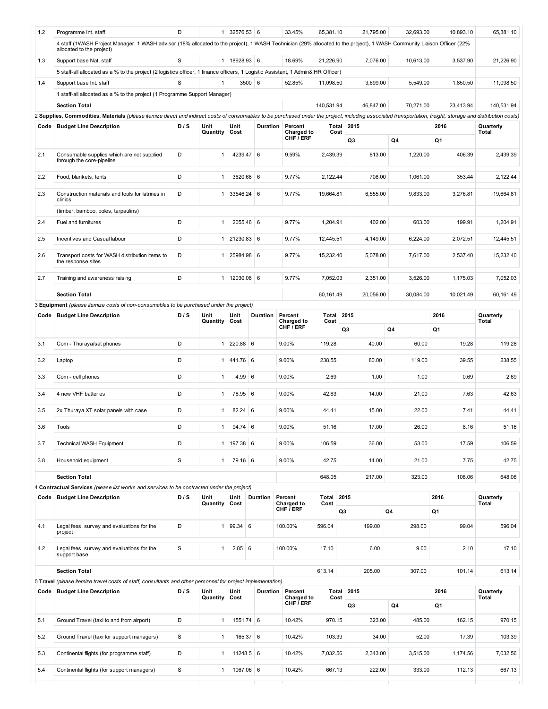| 1.2  | Programme Int. staff<br>4 staff (1WASH Project Manager, 1 WASH advisor (18% allocated to the project), 1 WASH Technician (29% allocated to the project), 1 WASH Community Liaison Officer (22%               | D           | 1                | 32576.53 6            |                 | 33.45%                       | 65,381.10     | 21,795.00  | 32,693.00 | 10,893.10 | 65,381.10          |
|------|--------------------------------------------------------------------------------------------------------------------------------------------------------------------------------------------------------------|-------------|------------------|-----------------------|-----------------|------------------------------|---------------|------------|-----------|-----------|--------------------|
|      | allocated to the project)                                                                                                                                                                                    |             |                  |                       |                 |                              |               |            |           |           |                    |
| 1.3  | Support base Nat. staff                                                                                                                                                                                      | S           |                  | 1 18928.93 6          |                 | 18.69%                       | 21,226.90     | 7,076.00   | 10,613.00 | 3,537.90  | 21,226.90          |
|      | 5 staff-all allocated as a % to the project (2 logistics officer, 1 finance officers, 1 Logistic Assistant, 1 Admin& HR Officer)                                                                             |             |                  |                       |                 |                              |               |            |           |           |                    |
| 1.4  | Support base Int. staff                                                                                                                                                                                      | S           | $\mathbf{1}$     |                       | 3500 6          | 52.85%                       | 11,098.50     | 3,699.00   | 5,549.00  | 1.850.50  | 11,098.50          |
|      | 1 staff-all allocated as a % to the project (1 Programme Support Manager)                                                                                                                                    |             |                  |                       |                 |                              |               |            |           |           |                    |
|      | <b>Section Total</b>                                                                                                                                                                                         |             |                  |                       |                 |                              | 140,531.94    | 46,847.00  | 70,271.00 | 23,413.94 | 140,531.94         |
|      | 2 Supplies, Commodities, Materials (please itemize direct and indirect costs of consumables to be purchased under the project, including associated transportation, freight, storage and distribution costs) |             |                  |                       |                 |                              |               |            |           |           |                    |
| Code | <b>Budget Line Description</b>                                                                                                                                                                               | D/S         | Unit<br>Quantity | Unit<br>Cost          | Duration        | Percent<br><b>Charged to</b> | Total<br>Cost | 2015       |           | 2016      | Quarterly<br>Total |
|      |                                                                                                                                                                                                              |             |                  |                       |                 | CHF / ERF                    |               | Q3         | Q4        | Q1        |                    |
| 2.1  | Consumable supplies which are not supplied<br>through the core-pipeline                                                                                                                                      | D           | $\mathbf{1}$     | 4239.47 6             |                 | 9.59%                        | 2,439.39      | 813.00     | 1,220.00  | 406.39    | 2,439.39           |
| 2.2  | Food, blankets, tents                                                                                                                                                                                        | D           | $\mathbf{1}$     | 3620.68 6             |                 | 9.77%                        | 2,122.44      | 708.00     | 1,061.00  | 353.44    | 2,122.44           |
| 2.3  | Construction materials and tools for latrines in<br>clinics                                                                                                                                                  | D           | $\mathbf{1}$     | 33546.24 6            |                 | 9.77%                        | 19,664.81     | 6,555.00   | 9,833.00  | 3,276.81  | 19,664.81          |
|      | (timber, bamboo, poles, tarpaulins)                                                                                                                                                                          |             |                  |                       |                 |                              |               |            |           |           |                    |
| 2.4  | Fuel and furnitures                                                                                                                                                                                          | D           | 1                | 2055.46 6             |                 | 9.77%                        | 1,204.91      | 402.00     | 603.00    | 199.91    | 1,204.91           |
| 2.5  | Incentives and Casual labour                                                                                                                                                                                 | D           | $\mathbf{1}$     | 21230.83 6            |                 | 9.77%                        | 12,445.51     | 4,149.00   | 6,224.00  | 2,072.51  | 12,445.51          |
| 2.6  | Transport costs for WASH distribution items to<br>the response sites                                                                                                                                         | D           | 1                | 25984.98 6            |                 | 9.77%                        | 15,232.40     | 5,078.00   | 7,617.00  | 2,537.40  | 15,232.40          |
| 2.7  | Training and awareness raising                                                                                                                                                                               | D           | 1 <sup>1</sup>   | 12030.08 6            |                 | 9.77%                        | 7,052.03      | 2,351.00   | 3,526.00  | 1,175.03  | 7,052.03           |
|      | <b>Section Total</b>                                                                                                                                                                                         |             |                  |                       |                 |                              | 60,161.49     | 20,056.00  | 30,084.00 | 10,021.49 | 60,161.49          |
|      | 3 Equipment (please itemize costs of non-consumables to be purchased under the project)                                                                                                                      |             |                  |                       |                 |                              |               |            |           |           |                    |
| Code | <b>Budget Line Description</b>                                                                                                                                                                               | D/S         | Unit             | Unit                  | Duration        | Percent                      | Total         | 2015       |           | 2016      | Quarterly          |
|      |                                                                                                                                                                                                              |             | Quantity         | Cost                  |                 | Charged to<br>CHF / ERF      | Cost          | Q3         | Q4        | Q1        | Total              |
|      |                                                                                                                                                                                                              |             |                  |                       |                 |                              |               |            |           |           |                    |
| 3.1  | Com - Thuraya/sat phones                                                                                                                                                                                     | D           | $\mathbf{1}$     | 220.88 6              |                 | 9.00%                        | 119.28        | 40.00      | 60.00     | 19.28     | 119.28             |
| 3.2  | Laptop                                                                                                                                                                                                       | D           | 1                | 441.76 6              |                 | 9.00%                        | 238.55        | 80.00      | 119.00    | 39.55     | 238.55             |
| 3.3  | Com - cell phones                                                                                                                                                                                            | D           | $\mathbf{1}$     | 4.99 6                |                 | 9.00%                        | 2.69          | 1.00       | 1.00      | 0.69      | 2.69               |
| 3.4  | 4 new VHF batteries                                                                                                                                                                                          | D           | $\mathbf{1}$     | 78.95 6               |                 | 9.00%                        | 42.63         | 14.00      | 21.00     | 7.63      | 42.63              |
| 3.5  | 2x Thuraya XT solar panels with case                                                                                                                                                                         | D           | $\mathbf{1}$     | $82.24 \ 6$           |                 | 9.00%                        | 44.41         | 15.00      | 22.00     | 7.41      | 44.41              |
| 3.6  | Tools                                                                                                                                                                                                        | D           |                  | $1 \mid 94.74 \mid 6$ |                 | 9.00%                        | 51.16         | 17.00      | 26.00     | 8.16      | 51.16              |
| 3.7  | <b>Technical WASH Equipment</b>                                                                                                                                                                              | D           |                  | 1   197.38   6        |                 | 9.00%                        | 106.59        | 36.00      | 53.00     | 17.59     | 106.59             |
| 3.8  | Household equipment                                                                                                                                                                                          | $\mathbf S$ | 1                | 79.16 6               |                 | 9.00%                        | 42.75         | 14.00      | 21.00     | 7.75      | 42.75              |
|      | <b>Section Total</b>                                                                                                                                                                                         |             |                  |                       |                 |                              | 648.05        | 217.00     | 323.00    | 108.06    | 648.06             |
|      | 4 Contractual Services (please list works and services to be contracted under the project)                                                                                                                   | D/S         | Unit             | Unit                  | <b>Duration</b> | Percent                      |               |            |           | 2016      | Quarterly          |
| Code | <b>Budget Line Description</b>                                                                                                                                                                               |             | Quantity         | Cost                  |                 | Charged to<br>CHF / ERF      | Total<br>Cost | 2015<br>Q3 | Q4        | Q1        | Total              |
| 4.1  | Legal fees, survey and evaluations for the<br>project                                                                                                                                                        | D           | $\mathbf{1}$     | 99.34 6               |                 | 100.00%                      | 596.04        | 199.00     | 298.00    | 99.04     | 596.04             |
| 4.2  | Legal fees, survey and evaluations for the<br>support base                                                                                                                                                   | $\mathbf S$ | $\mathbf{1}$     | 2.85 6                |                 | 100.00%                      | 17.10         | 6.00       | 9.00      | 2.10      | 17.10              |
|      | <b>Section Total</b>                                                                                                                                                                                         |             |                  |                       |                 |                              | 613.14        | 205.00     | 307.00    | 101.14    | 613.14             |
|      | 5 Travel (please itemize travel costs of staff, consultants and other personnel for project implementation)                                                                                                  |             |                  |                       |                 |                              |               |            |           |           |                    |
| Code | <b>Budget Line Description</b>                                                                                                                                                                               | D/S         | Unit             | Unit                  | Duration        | Percent                      | Total         | 2015       |           | 2016      | Quarterly          |
|      |                                                                                                                                                                                                              |             | <b>Quantity</b>  | Cost                  |                 | Charged to<br>CHF / ERF      | Cost          | Q3         | Q4        | Q1        | <b>Total</b>       |
| 5.1  | Ground Travel (taxi to and from airport)                                                                                                                                                                     | D           | 1                | $1551.74$ 6           |                 | 10.42%                       | 970.15        | 323.00     | 485.00    | 162.15    | 970.15             |
| 5.2  | Ground Travel (taxi for support managers)                                                                                                                                                                    | S           | $\mathbf{1}$     |                       | 165.37 6        | 10.42%                       | 103.39        | 34.00      | 52.00     | 17.39     | 103.39             |
| 5.3  | Continental flights (for programme staff)                                                                                                                                                                    | D           | $\mathbf{1}$     | $11248.5$ 6           |                 | 10.42%                       | 7,032.56      | 2,343.00   | 3,515.00  | 1,174.56  | 7,032.56           |
| 5.4  | Continental flights (for support managers)                                                                                                                                                                   | S           | $\mathbf{1}$     | 1067.06 6             |                 | 10.42%                       | 667.13        | 222.00     | 333.00    | 112.13    | 667.13             |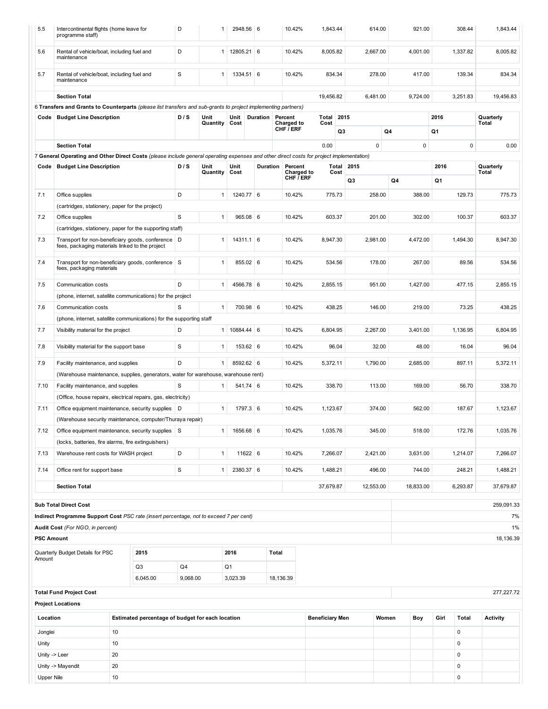| 5.5               | Intercontinental flights (home leave for<br>programme staff)                                                                             |    |                                                  | D           | 1                |              | 2948.56 6   |           | 10.42%                         | 1,843.44               |        | 614.00            |        | 921.00<br>308.44 |       | 1,843.44 |                    |
|-------------------|------------------------------------------------------------------------------------------------------------------------------------------|----|--------------------------------------------------|-------------|------------------|--------------|-------------|-----------|--------------------------------|------------------------|--------|-------------------|--------|------------------|-------|----------|--------------------|
| 5.6               | Rental of vehicle/boat, including fuel and<br>maintenance                                                                                |    |                                                  | D           | 1                |              | 12805.21 6  |           | 10.42%                         | 8,005.82               |        | 2,667.00          |        | 4,001.00         |       | 1,337.82 | 8,005.82           |
| 5.7               | Rental of vehicle/boat, including fuel and<br>maintenance                                                                                |    |                                                  | $\mathbf S$ | 1                |              | 1334.51 6   |           | 10.42%                         | 834.34                 |        | 278.00            |        | 417.00           |       | 139.34   | 834.34             |
|                   | <b>Section Total</b>                                                                                                                     |    |                                                  |             |                  |              |             |           |                                | 19,456.82              |        | 6,481.00          |        | 9,724.00         |       | 3,251.83 | 19,456.83          |
|                   | 6 Transfers and Grants to Counterparts (please list transfers and sub-grants to project implementing partners)                           |    |                                                  |             |                  |              |             |           |                                |                        |        |                   |        |                  |       |          |                    |
|                   | Code   Budget Line Description                                                                                                           |    |                                                  | D / S       | Unit             | Unit         | Duration    |           | Percent                        | Total                  | 2015   |                   |        |                  | 2016  |          | Quarterly          |
|                   |                                                                                                                                          |    |                                                  |             | Quantity Cost    |              |             |           | <b>Charged to</b><br>CHF / ERF | Cost                   | Q3     |                   | Q4     |                  | Q1    |          | Total              |
|                   | <b>Section Total</b>                                                                                                                     |    |                                                  |             |                  |              |             |           |                                | 0.00                   |        | $\mathbf 0$       |        | 0                |       | 0        | 0.00               |
|                   | 7 General Operating and Other Direct Costs (please include general operating expenses and other direct costs for project implementation) |    |                                                  |             |                  |              |             |           |                                |                        |        |                   |        |                  |       |          |                    |
| Code              | <b>Budget Line Description</b>                                                                                                           |    |                                                  | D/S         | Unit<br>Quantity | Unit<br>Cost |             | Duration  | Percent<br>Charged to          |                        | Cost   | <b>Total 2015</b> |        |                  | 2016  |          | Quarterly<br>Total |
|                   |                                                                                                                                          |    |                                                  |             |                  |              |             |           | CHF $\bar{I}$ ERF              |                        |        | Q3                |        | Q4               | Q1    |          |                    |
| 7.1               | Office supplies                                                                                                                          |    |                                                  | D           | 1                |              | 1240.77 6   |           | 10.42%                         | 775.73                 |        | 258.00            |        | 388.00           |       | 129.73   | 775.73             |
|                   | (cartridges, stationery, paper for the project)                                                                                          |    |                                                  |             |                  |              |             |           |                                |                        |        |                   |        |                  |       |          |                    |
| 7.2               | Office supplies                                                                                                                          |    |                                                  | $\mathbf S$ | $\mathbf{1}$     |              | 965.08 6    |           | 10.42%                         | 603.37                 |        | 201.00            |        | 302.00           |       | 100.37   | 603.37             |
|                   | (cartridges, stationery, paper for the supporting staff)                                                                                 |    |                                                  |             |                  |              |             |           |                                |                        |        |                   |        |                  |       |          |                    |
| 7.3               | Transport for non-beneficiary goods, conference   D<br>fees, packaging materials linked to the project                                   |    |                                                  |             | 1                |              | $14311.1$ 6 |           | 10.42%                         | 8.947.30               |        | 2,981.00          |        | 4,472.00         |       | 1,494.30 | 8,947.30           |
| 7.4               | Transport for non-beneficiary goods, conference S<br>fees, packaging materials                                                           |    |                                                  |             | $\mathbf{1}$     |              | 855.02 6    |           | 10.42%<br>534.56               |                        | 178.00 |                   | 267.00 |                  | 89.56 | 534.56   |                    |
| 7.5               | Communication costs                                                                                                                      |    |                                                  | D           | $\mathbf{1}$     |              | 4566.78 6   |           | 10.42%<br>2.855.15             |                        |        | 951.00            |        | 1,427.00         |       | 477.15   | 2,855.15           |
|                   | (phone, internet, satellite communications) for the project                                                                              |    |                                                  |             |                  |              |             |           |                                |                        |        |                   |        |                  |       |          |                    |
| 7.6               | Communication costs                                                                                                                      |    |                                                  | S           | $\mathbf{1}$     |              | 700.98 6    |           | 10.42%                         | 438.25                 |        | 146.00            |        | 219.00           |       | 73.25    | 438.25             |
|                   | (phone, internet, satellite communications) for the supporting staff                                                                     |    |                                                  |             |                  |              |             |           |                                |                        |        |                   |        |                  |       |          |                    |
| 7.7               | Visibility material for the project                                                                                                      |    |                                                  | D           | 1                |              | 10884.44 6  |           | 10.42%                         | 6,804.95               |        | 2,267.00          |        | 3,401.00         |       | 1,136.95 | 6,804.95           |
| 7.8               | Visibility material for the support base                                                                                                 |    |                                                  | S           | $\mathbf{1}$     |              | 153.62 6    |           | 10.42%                         |                        | 96.04  | 32.00             |        | 48.00            |       | 16.04    | 96.04              |
| 7.9               | Facility maintenance, and supplies                                                                                                       |    |                                                  | D           | $\mathbf{1}$     |              | 8592.62 6   |           | 10.42%                         | 5,372.11               |        | 1,790.00          |        | 2,685.00         |       | 897.11   | 5,372.11           |
|                   | (Warehouse maintenance, supplies, generators, water for warehouse, warehouse rent)                                                       |    |                                                  |             |                  |              |             |           |                                |                        |        |                   |        |                  |       |          |                    |
| 7.10              | Facility maintenance, and supplies                                                                                                       |    |                                                  | S           | 1                |              | 541.74 6    |           | 10.42%                         | 338.70                 |        | 113.00            |        | 169.00           |       | 56.70    | 338.70             |
|                   | (Office, house repairs, electrical repairs, gas, electricity)                                                                            |    |                                                  |             |                  |              |             |           |                                |                        |        |                   |        |                  |       |          |                    |
| 7.11              | Office equipment maintenance, security supplies   D                                                                                      |    |                                                  |             | $\mathbf{1}$     |              | 1797.3 6    |           | 10.42%                         | 1,123.67               |        | 374.00            |        | 562.00           |       | 187.67   | 1,123.67           |
|                   | (Warehouse security maintenance, computer/Thuraya repair)                                                                                |    |                                                  |             |                  |              |             |           |                                |                        |        |                   |        |                  |       |          |                    |
| 7.12              | Office equipment maintenance, security supplies S                                                                                        |    |                                                  |             | 1                |              | 1656.68 6   |           | 10.42%                         | 1,035.76               |        | 345.00            |        | 518.00           |       | 172.76   | 1,035.76           |
|                   | (locks, batteries, fire alarms, fire extinguishers)                                                                                      |    |                                                  |             |                  |              |             |           |                                |                        |        |                   |        |                  |       |          |                    |
| 7.13              | Warehouse rent costs for WASH project                                                                                                    |    |                                                  | D           | $\mathbf{1}$     |              | 11622 6     |           | 10.42%                         | 7,266.07               |        | 2,421.00          |        | 3,631.00         |       | 1,214.07 | 7,266.07           |
| 7.14              | Office rent for support base                                                                                                             |    |                                                  | $\mathbf S$ | $\mathbf{1}$     |              | 2380.37 6   |           | 10.42%                         | 1,488.21               |        | 496.00            |        | 744.00           |       | 248.21   | 1,488.21           |
|                   | <b>Section Total</b>                                                                                                                     |    |                                                  |             |                  |              |             |           |                                | 37.679.87              |        | 12,553.00         |        | 18,833.00        |       | 6,293.87 | 37.679.87          |
|                   | <b>Sub Total Direct Cost</b>                                                                                                             |    |                                                  |             |                  |              |             |           |                                |                        |        |                   |        |                  |       |          | 259,091.33         |
|                   | Indirect Programme Support Cost PSC rate (insert percentage, not to exceed 7 per cent)                                                   |    |                                                  |             |                  |              |             |           |                                |                        |        |                   |        |                  |       |          | 7%                 |
|                   | Audit Cost (For NGO, in percent)                                                                                                         |    |                                                  |             |                  |              |             |           |                                |                        |        |                   |        |                  |       |          | $1\%$              |
| <b>PSC Amount</b> |                                                                                                                                          |    |                                                  |             |                  |              |             |           |                                |                        |        |                   |        |                  |       |          | 18,136.39          |
|                   |                                                                                                                                          |    |                                                  |             |                  |              |             |           |                                |                        |        |                   |        |                  |       |          |                    |
| Amount            | Quarterly Budget Details for PSC                                                                                                         |    | 2015<br>Q <sub>3</sub>                           | Q4          |                  | 2016<br>Q1   |             | Total     |                                |                        |        |                   |        |                  |       |          |                    |
|                   |                                                                                                                                          |    | 6,045.00                                         | 9,068.00    |                  | 3,023.39     |             | 18,136.39 |                                |                        |        |                   |        |                  |       |          |                    |
|                   | <b>Total Fund Project Cost</b>                                                                                                           |    |                                                  |             |                  |              |             |           |                                |                        |        |                   |        |                  |       |          | 277, 227. 72       |
|                   | <b>Project Locations</b>                                                                                                                 |    |                                                  |             |                  |              |             |           |                                |                        |        |                   |        |                  |       |          |                    |
| Location          |                                                                                                                                          |    | Estimated percentage of budget for each location |             |                  |              |             |           |                                | <b>Beneficiary Men</b> |        |                   | Women  | Boy              | Girl  | Total    | <b>Activity</b>    |
| Jonglei           |                                                                                                                                          | 10 |                                                  |             |                  |              |             |           |                                |                        |        |                   |        |                  |       | 0        |                    |
| Unity             |                                                                                                                                          | 10 |                                                  |             |                  |              |             |           |                                |                        |        |                   |        |                  |       | 0        |                    |
| Unity -> Leer     |                                                                                                                                          | 20 |                                                  |             |                  |              |             |           |                                |                        |        |                   |        |                  |       | 0        |                    |
|                   | Unity -> Mayendit                                                                                                                        | 20 |                                                  |             |                  |              |             |           |                                |                        |        |                   |        |                  |       | 0        |                    |
| <b>Upper Nile</b> |                                                                                                                                          | 10 |                                                  |             |                  |              |             |           |                                |                        |        |                   |        |                  |       | 0        |                    |
|                   |                                                                                                                                          |    |                                                  |             |                  |              |             |           |                                |                        |        |                   |        |                  |       |          |                    |